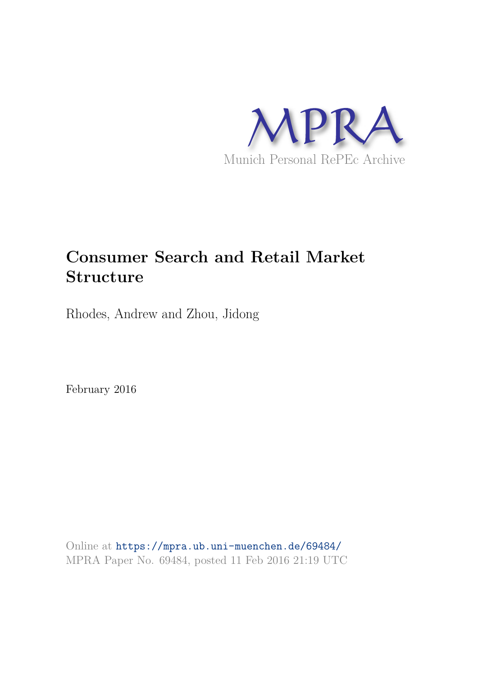

# **Consumer Search and Retail Market Structure**

Rhodes, Andrew and Zhou, Jidong

February 2016

Online at https://mpra.ub.uni-muenchen.de/69484/ MPRA Paper No. 69484, posted 11 Feb 2016 21:19 UTC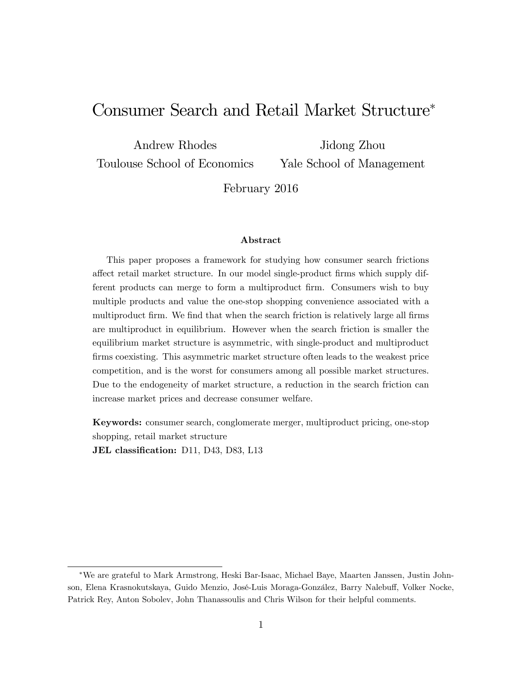# Consumer Search and Retail Market Structure

Andrew Rhodes Toulouse School of Economics Jidong Zhou

Yale School of Management

February 2016

#### Abstract

This paper proposes a framework for studying how consumer search frictions affect retail market structure. In our model single-product firms which supply different products can merge to form a multiproduct Örm. Consumers wish to buy multiple products and value the one-stop shopping convenience associated with a multiproduct firm. We find that when the search friction is relatively large all firms are multiproduct in equilibrium. However when the search friction is smaller the equilibrium market structure is asymmetric, with single-product and multiproduct Örms coexisting. This asymmetric market structure often leads to the weakest price competition, and is the worst for consumers among all possible market structures. Due to the endogeneity of market structure, a reduction in the search friction can increase market prices and decrease consumer welfare.

Keywords: consumer search, conglomerate merger, multiproduct pricing, one-stop shopping, retail market structure JEL classification: D11, D43, D83, L13

We are grateful to Mark Armstrong, Heski Bar-Isaac, Michael Baye, Maarten Janssen, Justin Johnson, Elena Krasnokutskaya, Guido Menzio, José-Luis Moraga-González, Barry Nalebuff, Volker Nocke, Patrick Rey, Anton Sobolev, John Thanassoulis and Chris Wilson for their helpful comments.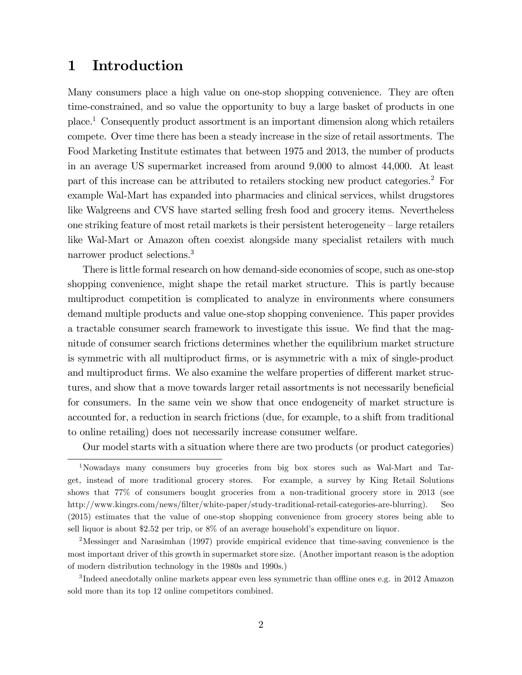## 1 Introduction

Many consumers place a high value on one-stop shopping convenience. They are often time-constrained, and so value the opportunity to buy a large basket of products in one place.<sup>1</sup> Consequently product assortment is an important dimension along which retailers compete. Over time there has been a steady increase in the size of retail assortments. The Food Marketing Institute estimates that between 1975 and 2013, the number of products in an average US supermarket increased from around 9,000 to almost 44,000. At least part of this increase can be attributed to retailers stocking new product categories.<sup>2</sup> For example Wal-Mart has expanded into pharmacies and clinical services, whilst drugstores like Walgreens and CVS have started selling fresh food and grocery items. Nevertheless one striking feature of most retail markets is their persistent heterogeneity  $-\operatorname{large}$  retailers like Wal-Mart or Amazon often coexist alongside many specialist retailers with much narrower product selections.<sup>3</sup>

There is little formal research on how demand-side economies of scope, such as one-stop shopping convenience, might shape the retail market structure. This is partly because multiproduct competition is complicated to analyze in environments where consumers demand multiple products and value one-stop shopping convenience. This paper provides a tractable consumer search framework to investigate this issue. We find that the magnitude of consumer search frictions determines whether the equilibrium market structure is symmetric with all multiproduct Örms, or is asymmetric with a mix of single-product and multiproduct firms. We also examine the welfare properties of different market structures, and show that a move towards larger retail assortments is not necessarily beneficial for consumers. In the same vein we show that once endogeneity of market structure is accounted for, a reduction in search frictions (due, for example, to a shift from traditional to online retailing) does not necessarily increase consumer welfare.

Our model starts with a situation where there are two products (or product categories)

<sup>2</sup>Messinger and Narasimhan (1997) provide empirical evidence that time-saving convenience is the most important driver of this growth in supermarket store size. (Another important reason is the adoption of modern distribution technology in the 1980s and 1990s.)

 $3$ Indeed anecdotally online markets appear even less symmetric than offline ones e.g. in 2012 Amazon sold more than its top 12 online competitors combined.

<sup>1</sup>Nowadays many consumers buy groceries from big box stores such as Wal-Mart and Target, instead of more traditional grocery stores. For example, a survey by King Retail Solutions shows that 77% of consumers bought groceries from a non-traditional grocery store in 2013 (see http://www.kingrs.com/news/Ölter/white-paper/study-traditional-retail-categories-are-blurring). Seo (2015) estimates that the value of one-stop shopping convenience from grocery stores being able to sell liquor is about \$2.52 per trip, or  $8\%$  of an average household's expenditure on liquor.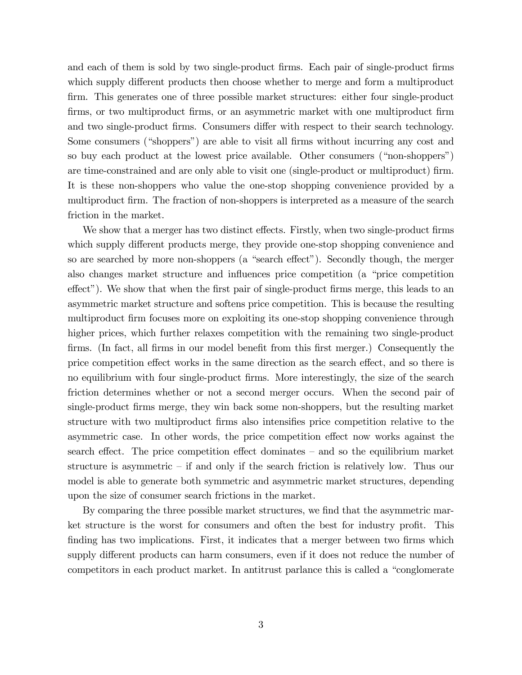and each of them is sold by two single-product firms. Each pair of single-product firms which supply different products then choose whether to merge and form a multiproduct firm. This generates one of three possible market structures: either four single-product Örms, or two multiproduct Örms, or an asymmetric market with one multiproduct Örm and two single-product firms. Consumers differ with respect to their search technology. Some consumers ("shoppers") are able to visit all firms without incurring any cost and so buy each product at the lowest price available. Other consumers ("non-shoppers") are time-constrained and are only able to visit one (single-product or multiproduct) firm. It is these non-shoppers who value the one-stop shopping convenience provided by a multiproduct firm. The fraction of non-shoppers is interpreted as a measure of the search friction in the market.

We show that a merger has two distinct effects. Firstly, when two single-product firms which supply different products merge, they provide one-stop shopping convenience and so are searched by more non-shoppers (a "search effect"). Secondly though, the merger also changes market structure and influences price competition (a "price competition" effect"). We show that when the first pair of single-product firms merge, this leads to an asymmetric market structure and softens price competition. This is because the resulting multiproduct firm focuses more on exploiting its one-stop shopping convenience through higher prices, which further relaxes competition with the remaining two single-product firms. (In fact, all firms in our model benefit from this first merger.) Consequently the price competition effect works in the same direction as the search effect, and so there is no equilibrium with four single-product firms. More interestingly, the size of the search friction determines whether or not a second merger occurs. When the second pair of single-product Örms merge, they win back some non-shoppers, but the resulting market structure with two multiproduct firms also intensifies price competition relative to the asymmetric case. In other words, the price competition effect now works against the search effect. The price competition effect dominates  $-$  and so the equilibrium market structure is asymmetric  $\overline{\phantom{a}}$  if and only if the search friction is relatively low. Thus our model is able to generate both symmetric and asymmetric market structures, depending upon the size of consumer search frictions in the market.

By comparing the three possible market structures, we find that the asymmetric market structure is the worst for consumers and often the best for industry profit. This finding has two implications. First, it indicates that a merger between two firms which supply different products can harm consumers, even if it does not reduce the number of competitors in each product market. In antitrust parlance this is called a "conglomerate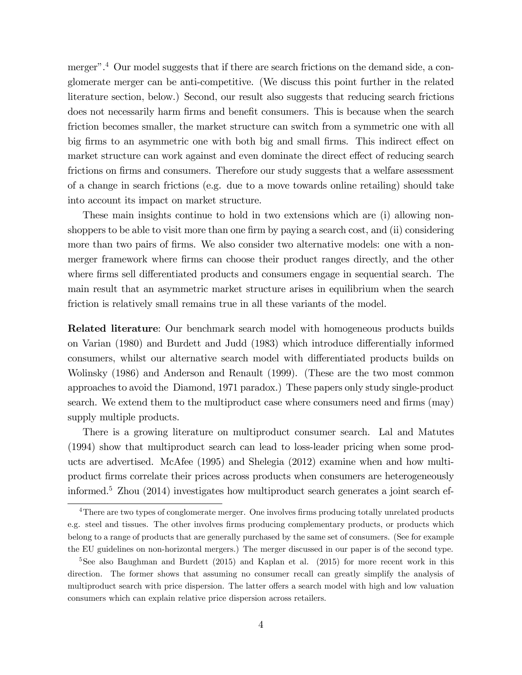merger".<sup>4</sup> Our model suggests that if there are search frictions on the demand side, a conglomerate merger can be anti-competitive. (We discuss this point further in the related literature section, below.) Second, our result also suggests that reducing search frictions does not necessarily harm firms and benefit consumers. This is because when the search friction becomes smaller, the market structure can switch from a symmetric one with all big firms to an asymmetric one with both big and small firms. This indirect effect on market structure can work against and even dominate the direct effect of reducing search frictions on firms and consumers. Therefore our study suggests that a welfare assessment of a change in search frictions (e.g. due to a move towards online retailing) should take into account its impact on market structure.

These main insights continue to hold in two extensions which are (i) allowing nonshoppers to be able to visit more than one firm by paying a search cost, and (ii) considering more than two pairs of firms. We also consider two alternative models: one with a nonmerger framework where firms can choose their product ranges directly, and the other where firms sell differentiated products and consumers engage in sequential search. The main result that an asymmetric market structure arises in equilibrium when the search friction is relatively small remains true in all these variants of the model.

**Related literature:** Our benchmark search model with homogeneous products builds on Varian (1980) and Burdett and Judd (1983) which introduce differentially informed consumers, whilst our alternative search model with differentiated products builds on Wolinsky (1986) and Anderson and Renault (1999). (These are the two most common approaches to avoid the Diamond, 1971 paradox.) These papers only study single-product search. We extend them to the multiproduct case where consumers need and firms (may) supply multiple products.

There is a growing literature on multiproduct consumer search. Lal and Matutes (1994) show that multiproduct search can lead to loss-leader pricing when some products are advertised. McAfee (1995) and Shelegia (2012) examine when and how multiproduct Örms correlate their prices across products when consumers are heterogeneously informed.<sup>5</sup> Zhou (2014) investigates how multiproduct search generates a joint search ef-

<sup>&</sup>lt;sup>4</sup>There are two types of conglomerate merger. One involves firms producing totally unrelated products e.g. steel and tissues. The other involves firms producing complementary products, or products which belong to a range of products that are generally purchased by the same set of consumers. (See for example the EU guidelines on non-horizontal mergers.) The merger discussed in our paper is of the second type.

<sup>&</sup>lt;sup>5</sup>See also Baughman and Burdett (2015) and Kaplan et al. (2015) for more recent work in this direction. The former shows that assuming no consumer recall can greatly simplify the analysis of multiproduct search with price dispersion. The latter offers a search model with high and low valuation consumers which can explain relative price dispersion across retailers.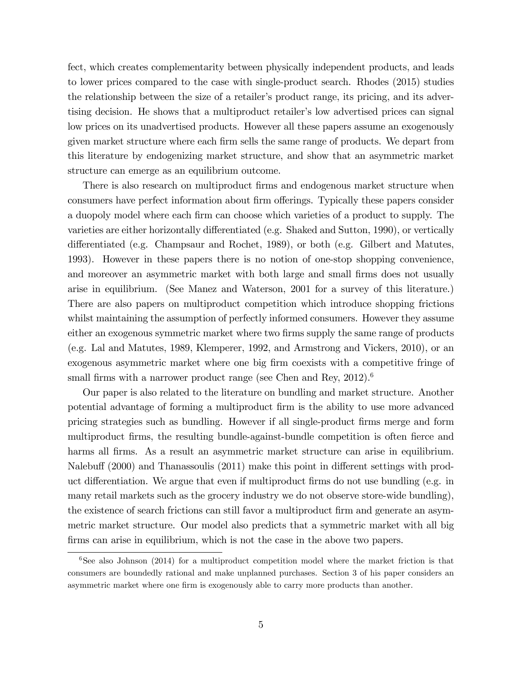fect, which creates complementarity between physically independent products, and leads to lower prices compared to the case with single-product search. Rhodes (2015) studies the relationship between the size of a retailer's product range, its pricing, and its advertising decision. He shows that a multiproduct retailer's low advertised prices can signal low prices on its unadvertised products. However all these papers assume an exogenously given market structure where each firm sells the same range of products. We depart from this literature by endogenizing market structure, and show that an asymmetric market structure can emerge as an equilibrium outcome.

There is also research on multiproduct firms and endogenous market structure when consumers have perfect information about firm offerings. Typically these papers consider a duopoly model where each firm can choose which varieties of a product to supply. The varieties are either horizontally differentiated (e.g. Shaked and Sutton, 1990), or vertically differentiated (e.g. Champsaur and Rochet, 1989), or both (e.g. Gilbert and Matutes, 1993). However in these papers there is no notion of one-stop shopping convenience, and moreover an asymmetric market with both large and small firms does not usually arise in equilibrium. (See Manez and Waterson, 2001 for a survey of this literature.) There are also papers on multiproduct competition which introduce shopping frictions whilst maintaining the assumption of perfectly informed consumers. However they assume either an exogenous symmetric market where two firms supply the same range of products (e.g. Lal and Matutes, 1989, Klemperer, 1992, and Armstrong and Vickers, 2010), or an exogenous asymmetric market where one big firm coexists with a competitive fringe of small firms with a narrower product range (see Chen and Rey,  $2012$ ).<sup>6</sup>

Our paper is also related to the literature on bundling and market structure. Another potential advantage of forming a multiproduct Örm is the ability to use more advanced pricing strategies such as bundling. However if all single-product Örms merge and form multiproduct firms, the resulting bundle-against-bundle competition is often fierce and harms all firms. As a result an asymmetric market structure can arise in equilibrium. Nalebuff (2000) and Thanassoulis (2011) make this point in different settings with product differentiation. We argue that even if multiproduct firms do not use bundling (e.g. in many retail markets such as the grocery industry we do not observe store-wide bundling), the existence of search frictions can still favor a multiproduct firm and generate an asymmetric market structure. Our model also predicts that a symmetric market with all big firms can arise in equilibrium, which is not the case in the above two papers.

 $6$ See also Johnson (2014) for a multiproduct competition model where the market friction is that consumers are boundedly rational and make unplanned purchases. Section 3 of his paper considers an asymmetric market where one firm is exogenously able to carry more products than another.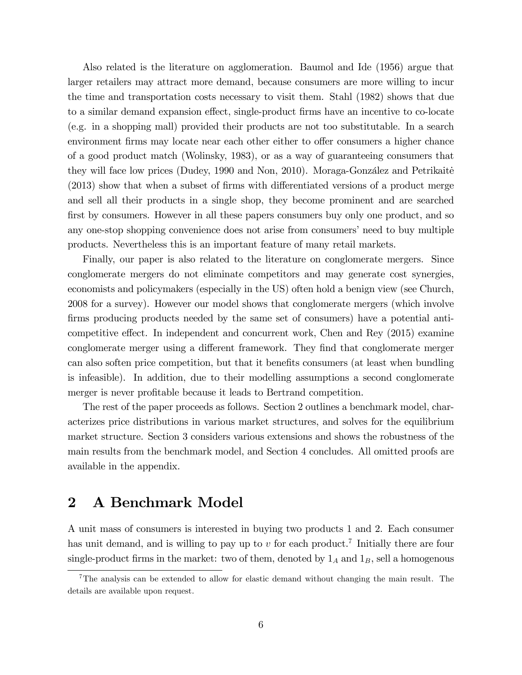Also related is the literature on agglomeration. Baumol and Ide (1956) argue that larger retailers may attract more demand, because consumers are more willing to incur the time and transportation costs necessary to visit them. Stahl (1982) shows that due to a similar demand expansion effect, single-product firms have an incentive to co-locate (e.g. in a shopping mall) provided their products are not too substitutable. In a search environment firms may locate near each other either to offer consumers a higher chance of a good product match (Wolinsky, 1983), or as a way of guaranteeing consumers that they will face low prices (Dudey, 1990 and Non, 2010). Moraga-González and Petrikaite  $(2013)$  show that when a subset of firms with differentiated versions of a product merge and sell all their products in a single shop, they become prominent and are searched first by consumers. However in all these papers consumers buy only one product, and so any one-stop shopping convenience does not arise from consumers' need to buy multiple products. Nevertheless this is an important feature of many retail markets.

Finally, our paper is also related to the literature on conglomerate mergers. Since conglomerate mergers do not eliminate competitors and may generate cost synergies, economists and policymakers (especially in the US) often hold a benign view (see Church, 2008 for a survey). However our model shows that conglomerate mergers (which involve firms producing products needed by the same set of consumers) have a potential anticompetitive effect. In independent and concurrent work, Chen and Rey  $(2015)$  examine conglomerate merger using a different framework. They find that conglomerate merger can also soften price competition, but that it benefits consumers (at least when bundling is infeasible). In addition, due to their modelling assumptions a second conglomerate merger is never profitable because it leads to Bertrand competition.

The rest of the paper proceeds as follows. Section 2 outlines a benchmark model, characterizes price distributions in various market structures, and solves for the equilibrium market structure. Section 3 considers various extensions and shows the robustness of the main results from the benchmark model, and Section 4 concludes. All omitted proofs are available in the appendix.

# 2 A Benchmark Model

A unit mass of consumers is interested in buying two products 1 and 2. Each consumer has unit demand, and is willing to pay up to  $v$  for each product.<sup>7</sup> Initially there are four single-product firms in the market: two of them, denoted by  $1_A$  and  $1_B$ , sell a homogenous

<sup>7</sup>The analysis can be extended to allow for elastic demand without changing the main result. The details are available upon request.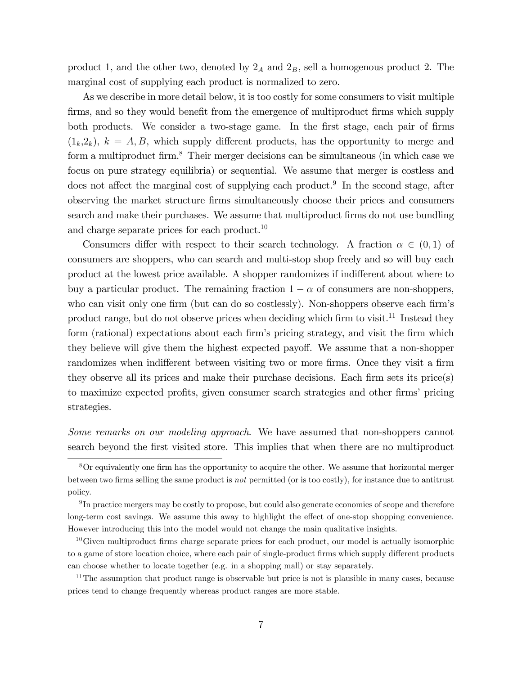product 1, and the other two, denoted by  $2_A$  and  $2_B$ , sell a homogenous product 2. The marginal cost of supplying each product is normalized to zero.

As we describe in more detail below, it is too costly for some consumers to visit multiple firms, and so they would benefit from the emergence of multiproduct firms which supply both products. We consider a two-stage game. In the first stage, each pair of firms  $(1_k,2_k)$ ,  $k = A, B$ , which supply different products, has the opportunity to merge and form a multiproduct firm.<sup>8</sup> Their merger decisions can be simultaneous (in which case we focus on pure strategy equilibria) or sequential. We assume that merger is costless and does not affect the marginal cost of supplying each product.<sup>9</sup> In the second stage, after observing the market structure Örms simultaneously choose their prices and consumers search and make their purchases. We assume that multiproduct firms do not use bundling and charge separate prices for each product.<sup>10</sup>

Consumers differ with respect to their search technology. A fraction  $\alpha \in (0,1)$  of consumers are shoppers, who can search and multi-stop shop freely and so will buy each product at the lowest price available. A shopper randomizes if indifferent about where to buy a particular product. The remaining fraction  $1 - \alpha$  of consumers are non-shoppers, who can visit only one firm (but can do so costlessly). Non-shoppers observe each firm's product range, but do not observe prices when deciding which firm to visit.<sup>11</sup> Instead they form (rational) expectations about each firm's pricing strategy, and visit the firm which they believe will give them the highest expected payoff. We assume that a non-shopper randomizes when indifferent between visiting two or more firms. Once they visit a firm they observe all its prices and make their purchase decisions. Each firm sets its price $(s)$ to maximize expected profits, given consumer search strategies and other firms' pricing strategies.

Some remarks on our modeling approach. We have assumed that non-shoppers cannot search beyond the Örst visited store. This implies that when there are no multiproduct

 $8$ Or equivalently one firm has the opportunity to acquire the other. We assume that horizontal merger between two firms selling the same product is *not* permitted (or is too costly), for instance due to antitrust policy.

 $^{9}$ In practice mergers may be costly to propose, but could also generate economies of scope and therefore long-term cost savings. We assume this away to highlight the effect of one-stop shopping convenience. However introducing this into the model would not change the main qualitative insights.

 $10$ Given multiproduct firms charge separate prices for each product, our model is actually isomorphic to a game of store location choice, where each pair of single-product firms which supply different products can choose whether to locate together (e.g. in a shopping mall) or stay separately.

 $11$ The assumption that product range is observable but price is not is plausible in many cases, because prices tend to change frequently whereas product ranges are more stable.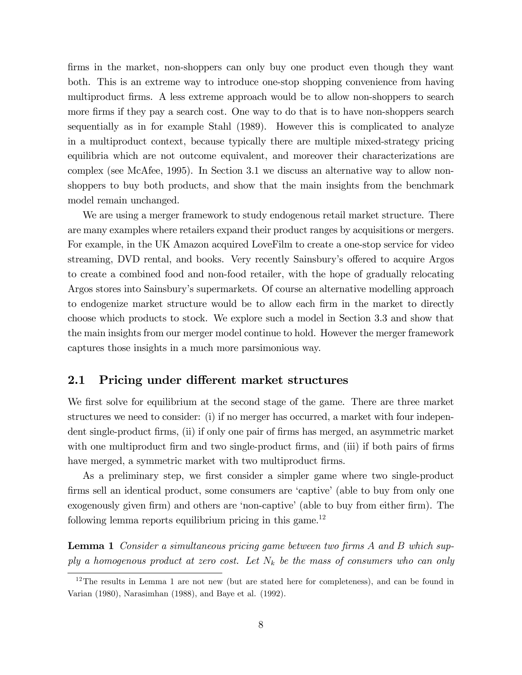firms in the market, non-shoppers can only buy one product even though they want both. This is an extreme way to introduce one-stop shopping convenience from having multiproduct firms. A less extreme approach would be to allow non-shoppers to search more firms if they pay a search cost. One way to do that is to have non-shoppers search sequentially as in for example Stahl (1989). However this is complicated to analyze in a multiproduct context, because typically there are multiple mixed-strategy pricing equilibria which are not outcome equivalent, and moreover their characterizations are complex (see McAfee, 1995). In Section 3.1 we discuss an alternative way to allow nonshoppers to buy both products, and show that the main insights from the benchmark model remain unchanged.

We are using a merger framework to study endogenous retail market structure. There are many examples where retailers expand their product ranges by acquisitions or mergers. For example, in the UK Amazon acquired LoveFilm to create a one-stop service for video streaming, DVD rental, and books. Very recently Sainsbury's offered to acquire Argos to create a combined food and non-food retailer, with the hope of gradually relocating Argos stores into Sainsbury's supermarkets. Of course an alternative modelling approach to endogenize market structure would be to allow each firm in the market to directly choose which products to stock. We explore such a model in Section 3.3 and show that the main insights from our merger model continue to hold. However the merger framework captures those insights in a much more parsimonious way.

#### 2.1 Pricing under different market structures

We first solve for equilibrium at the second stage of the game. There are three market structures we need to consider: (i) if no merger has occurred, a market with four independent single-product firms, (ii) if only one pair of firms has merged, an asymmetric market with one multiproduct firm and two single-product firms, and (iii) if both pairs of firms have merged, a symmetric market with two multiproduct firms.

As a preliminary step, we first consider a simpler game where two single-product firms sell an identical product, some consumers are 'captive' (able to buy from only one exogenously given firm) and others are 'non-captive' (able to buy from either firm). The following lemma reports equilibrium pricing in this game.<sup>12</sup>

**Lemma 1** Consider a simultaneous pricing game between two firms A and B which supply a homogenous product at zero cost. Let  $N_k$  be the mass of consumers who can only

 $12$ The results in Lemma 1 are not new (but are stated here for completeness), and can be found in Varian (1980), Narasimhan (1988), and Baye et al. (1992).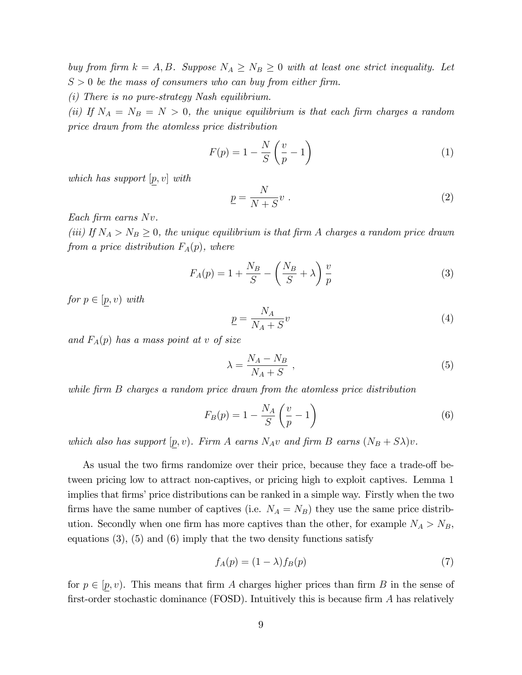buy from firm  $k = A, B$ . Suppose  $N_A \ge N_B \ge 0$  with at least one strict inequality. Let  $S > 0$  be the mass of consumers who can buy from either firm.

(i) There is no pure-strategy Nash equilibrium.

(ii) If  $N_A = N_B = N > 0$ , the unique equilibrium is that each firm charges a random price drawn from the atomless price distribution

$$
F(p) = 1 - \frac{N}{S} \left(\frac{v}{p} - 1\right)
$$
 (1)

which has support  $[p, v]$  with

$$
\underline{p} = \frac{N}{N+S}v \ . \tag{2}
$$

Each firm earns  $Nv$ .

(iii) If  $N_A > N_B \geq 0$ , the unique equilibrium is that firm A charges a random price drawn from a price distribution  $F_A(p)$ , where

$$
F_A(p) = 1 + \frac{N_B}{S} - \left(\frac{N_B}{S} + \lambda\right) \frac{v}{p}
$$
\n<sup>(3)</sup>

for  $p \in [p, v)$  with

$$
\underline{p} = \frac{N_A}{N_A + S} v \tag{4}
$$

and  $F_A(p)$  has a mass point at v of size

$$
\lambda = \frac{N_A - N_B}{N_A + S} \tag{5}
$$

while firm B charges a random price drawn from the atomless price distribution

$$
F_B(p) = 1 - \frac{N_A}{S} \left(\frac{v}{p} - 1\right) \tag{6}
$$

which also has support  $[p, v]$ . Firm A earns  $N_A v$  and firm B earns  $(N_B + S\lambda)v$ .

As usual the two firms randomize over their price, because they face a trade-off between pricing low to attract non-captives, or pricing high to exploit captives. Lemma 1 implies that firms' price distributions can be ranked in a simple way. Firstly when the two firms have the same number of captives (i.e.  $N_A = N_B$ ) they use the same price distribution. Secondly when one firm has more captives than the other, for example  $N_A > N_B$ , equations  $(3)$ ,  $(5)$  and  $(6)$  imply that the two density functions satisfy

$$
f_A(p) = (1 - \lambda)f_B(p) \tag{7}
$$

for  $p \in [p, v)$ . This means that firm A charges higher prices than firm B in the sense of first-order stochastic dominance (FOSD). Intuitively this is because firm  $A$  has relatively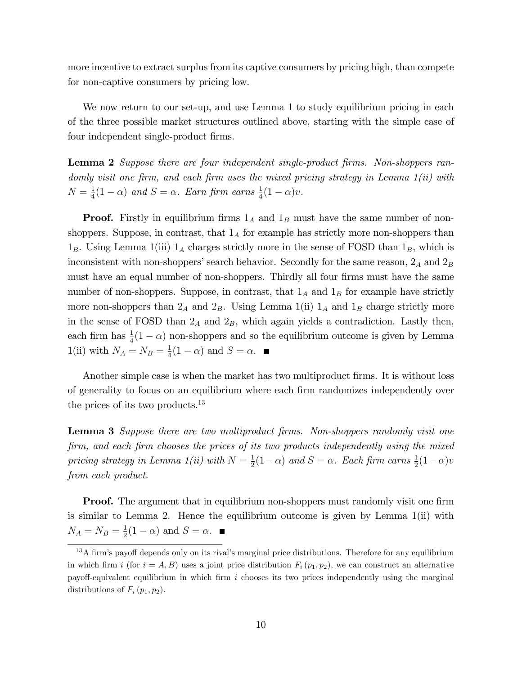more incentive to extract surplus from its captive consumers by pricing high, than compete for non-captive consumers by pricing low.

We now return to our set-up, and use Lemma 1 to study equilibrium pricing in each of the three possible market structures outlined above, starting with the simple case of four independent single-product firms.

**Lemma 2** Suppose there are four independent single-product firms. Non-shoppers randomly visit one firm, and each firm uses the mixed pricing strategy in Lemma  $1(ii)$  with  $N=\frac{1}{4}$  $\frac{1}{4}(1-\alpha)$  and  $S = \alpha$ . Earn firm earns  $\frac{1}{4}(1-\alpha)v$ .

**Proof.** Firstly in equilibrium firms  $1_A$  and  $1_B$  must have the same number of nonshoppers. Suppose, in contrast, that  $1_A$  for example has strictly more non-shoppers than  $1_B$ . Using Lemma 1(iii)  $1_A$  charges strictly more in the sense of FOSD than  $1_B$ , which is inconsistent with non-shoppers' search behavior. Secondly for the same reason,  $2_A$  and  $2_B$ must have an equal number of non-shoppers. Thirdly all four firms must have the same number of non-shoppers. Suppose, in contrast, that  $1_A$  and  $1_B$  for example have strictly more non-shoppers than  $2_A$  and  $2_B$ . Using Lemma 1(ii)  $1_A$  and  $1_B$  charge strictly more in the sense of FOSD than  $2_A$  and  $2_B$ , which again yields a contradiction. Lastly then, each firm has  $\frac{1}{4}(1 - \alpha)$  non-shoppers and so the equilibrium outcome is given by Lemma 1(ii) with  $N_A = N_B = \frac{1}{4}$  $\frac{1}{4}(1-\alpha)$  and  $S=\alpha$ .

Another simple case is when the market has two multiproduct firms. It is without loss of generality to focus on an equilibrium where each firm randomizes independently over the prices of its two products.<sup>13</sup>

**Lemma 3** Suppose there are two multiproduct firms. Non-shoppers randomly visit one firm, and each firm chooses the prices of its two products independently using the mixed pricing strategy in Lemma 1(ii) with  $N = \frac{1}{2}$  $\frac{1}{2}(1-\alpha)$  and  $S = \alpha$ . Each firm earns  $\frac{1}{2}(1-\alpha)v$ from each product.

**Proof.** The argument that in equilibrium non-shoppers must randomly visit one firm is similar to Lemma 2. Hence the equilibrium outcome is given by Lemma 1(ii) with  $N_A = N_B = \frac{1}{2}$  $\frac{1}{2}(1-\alpha)$  and  $S=\alpha$ .

 $13A$  firm's payoff depends only on its rival's marginal price distributions. Therefore for any equilibrium in which firm i (for  $i = A, B$ ) uses a joint price distribution  $F_i(p_1, p_2)$ , we can construct an alternative payoff-equivalent equilibrium in which firm i chooses its two prices independently using the marginal distributions of  $F_i(p_1, p_2)$ .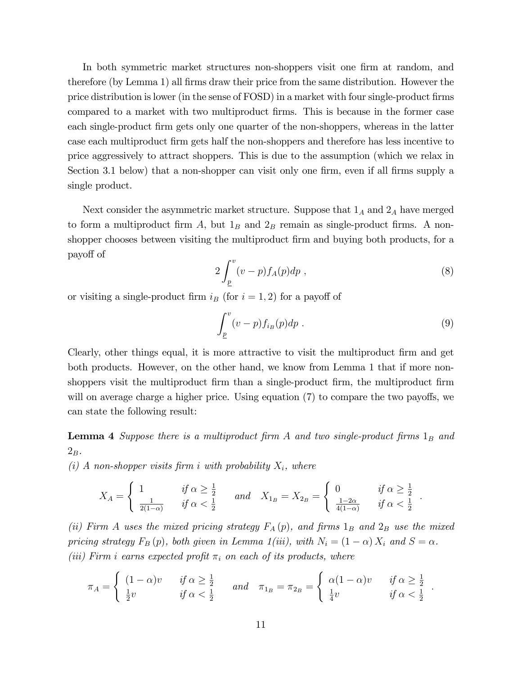In both symmetric market structures non-shoppers visit one firm at random, and therefore (by Lemma 1) all firms draw their price from the same distribution. However the price distribution is lower (in the sense of FOSD) in a market with four single-product firms compared to a market with two multiproduct Örms. This is because in the former case each single-product firm gets only one quarter of the non-shoppers, whereas in the latter case each multiproduct Örm gets half the non-shoppers and therefore has less incentive to price aggressively to attract shoppers. This is due to the assumption (which we relax in Section 3.1 below) that a non-shopper can visit only one firm, even if all firms supply a single product.

Next consider the asymmetric market structure. Suppose that  $1_A$  and  $2_A$  have merged to form a multiproduct firm A, but  $1_B$  and  $2_B$  remain as single-product firms. A nonshopper chooses between visiting the multiproduct firm and buying both products, for a payo§ of

$$
2\int_{\underline{p}}^{v}(v-p)f_A(p)dp , \qquad (8)
$$

or visiting a single-product firm  $i_B$  (for  $i = 1, 2$ ) for a payoff of

$$
\int_{\underline{p}}^{v} (v-p) f_{i_B}(p) dp . \tag{9}
$$

Clearly, other things equal, it is more attractive to visit the multiproduct firm and get both products. However, on the other hand, we know from Lemma 1 that if more nonshoppers visit the multiproduct firm than a single-product firm, the multiproduct firm will on average charge a higher price. Using equation  $(7)$  to compare the two payoffs, we can state the following result:

**Lemma 4** Suppose there is a multiproduct firm A and two single-product firms  $1_B$  and  $2_B$  .

(i) A non-shopper visits firm i with probability  $X_i$ , where

$$
X_A = \begin{cases} 1 & \text{if } \alpha \ge \frac{1}{2} \\ \frac{1}{2(1-\alpha)} & \text{if } \alpha < \frac{1}{2} \end{cases} \text{ and } X_{1_B} = X_{2_B} = \begin{cases} 0 & \text{if } \alpha \ge \frac{1}{2} \\ \frac{1-2\alpha}{4(1-\alpha)} & \text{if } \alpha < \frac{1}{2} \end{cases}.
$$

(ii) Firm A uses the mixed pricing strategy  $F_A(p)$ , and firms  $1_B$  and  $2_B$  use the mixed pricing strategy  $F_B(p)$ , both given in Lemma 1(iii), with  $N_i = (1 - \alpha) X_i$  and  $S = \alpha$ . (iii) Firm i earns expected profit  $\pi_i$  on each of its products, where

$$
\pi_A = \begin{cases}\n(1-\alpha)v & \text{if } \alpha \geq \frac{1}{2} \\
\frac{1}{2}v & \text{if } \alpha < \frac{1}{2}\n\end{cases}\n\quad \text{and} \quad \pi_{1_B} = \pi_{2_B} = \begin{cases}\n\alpha(1-\alpha)v & \text{if } \alpha \geq \frac{1}{2} \\
\frac{1}{4}v & \text{if } \alpha < \frac{1}{2}\n\end{cases}.
$$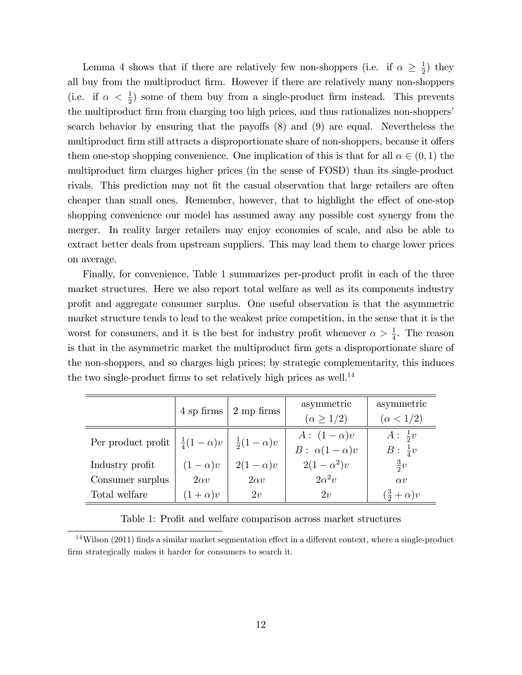Lemma 4 shows that if there are relatively few non-shoppers (i.e. if  $\alpha \geq \frac{1}{2}$ )  $(\frac{1}{2})$  they all buy from the multiproduct Örm. However if there are relatively many non-shoppers (i.e. if  $\alpha < \frac{1}{2}$ ) some of them buy from a single-product firm instead. This prevents the multiproduct firm from charging too high prices, and thus rationalizes non-shoppers' search behavior by ensuring that the payoffs  $(8)$  and  $(9)$  are equal. Nevertheless the multiproduct firm still attracts a disproportionate share of non-shoppers, because it offers them one-stop shopping convenience. One implication of this is that for all  $\alpha \in (0,1)$  the multiproduct firm charges higher prices (in the sense of FOSD) than its single-product rivals. This prediction may not fit the casual observation that large retailers are often cheaper than small ones. Remember, however, that to highlight the effect of one-stop shopping convenience our model has assumed away any possible cost synergy from the merger. In reality larger retailers may enjoy economies of scale, and also be able to extract better deals from upstream suppliers. This may lead them to charge lower prices on average.

Finally, for convenience, Table 1 summarizes per-product profit in each of the three market structures. Here we also report total welfare as well as its components industry proÖt and aggregate consumer surplus. One useful observation is that the asymmetric market structure tends to lead to the weakest price competition, in the sense that it is the worst for consumers, and it is the best for industry profit whenever  $\alpha > \frac{1}{4}$ . The reason is that in the asymmetric market the multiproduct Örm gets a disproportionate share of the non-shoppers, and so charges high prices; by strategic complementarity, this induces the two single-product firms to set relatively high prices as well.<sup>14</sup>

|                    | 4 sp firms             | $2 \text{ mp firms}$   | asymmetric             | asymmetric              |
|--------------------|------------------------|------------------------|------------------------|-------------------------|
|                    |                        |                        | $(\alpha \geq 1/2)$    | $(\alpha < 1/2)$        |
| Per product profit | $rac{1}{4}(1-\alpha)v$ | $rac{1}{2}(1-\alpha)v$ | $A: (1-\alpha)v$       | $A: \frac{1}{2}v$       |
|                    |                        |                        | $B: \alpha(1-\alpha)v$ | $B: \frac{1}{4}v$       |
| Industry profit    | $(1-\alpha)v$          | $2(1-\alpha)v$         | $2(1-\alpha^2)v$       | $rac{3}{2}v$            |
| Consumer surplus   | $2\alpha v$            | $2\alpha v$            | $2\alpha^2v$           | $\alpha v$              |
| Total welfare      | $(1+\alpha)v$          | 2v                     | 2v                     | $(\frac{3}{2}+\alpha)v$ |

Table 1: Profit and welfare comparison across market structures

 $14$ Wilson (2011) finds a similar market segmentation effect in a different context, where a single-product firm strategically makes it harder for consumers to search it.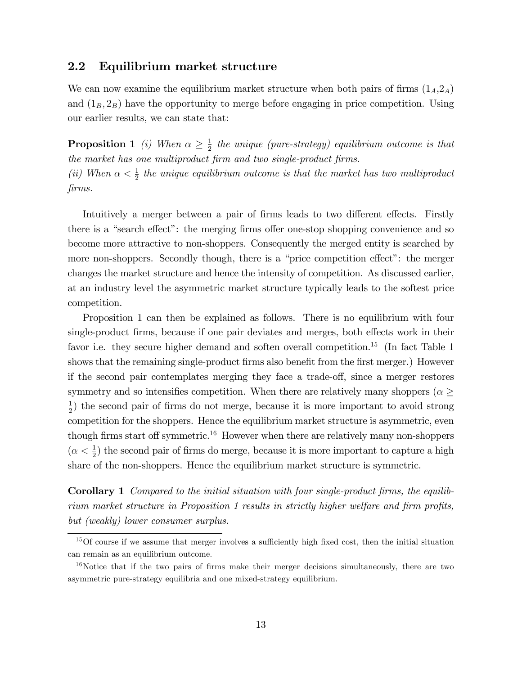#### 2.2 Equilibrium market structure

We can now examine the equilibrium market structure when both pairs of firms  $(1_A,2_A)$ and  $(1_B, 2_B)$  have the opportunity to merge before engaging in price competition. Using our earlier results, we can state that:

**Proposition 1** (i) When  $\alpha \geq \frac{1}{2}$  $\frac{1}{2}$  the unique (pure-strategy) equilibrium outcome is that the market has one multiproduct firm and two single-product firms. (ii) When  $\alpha < \frac{1}{2}$  the unique equilibrium outcome is that the market has two multiproduct Örms.

Intuitively a merger between a pair of firms leads to two different effects. Firstly there is a "search effect": the merging firms offer one-stop shopping convenience and so become more attractive to non-shoppers. Consequently the merged entity is searched by more non-shoppers. Secondly though, there is a "price competition effect": the merger changes the market structure and hence the intensity of competition. As discussed earlier, at an industry level the asymmetric market structure typically leads to the softest price competition.

Proposition 1 can then be explained as follows. There is no equilibrium with four single-product firms, because if one pair deviates and merges, both effects work in their favor i.e. they secure higher demand and soften overall competition.<sup>15</sup> (In fact Table 1 shows that the remaining single-product firms also benefit from the first merger.) However if the second pair contemplates merging they face a trade-off, since a merger restores symmetry and so intensifies competition. When there are relatively many shoppers ( $\alpha \geq$ 1  $\frac{1}{2}$ ) the second pair of firms do not merge, because it is more important to avoid strong competition for the shoppers. Hence the equilibrium market structure is asymmetric, even though firms start off symmetric.<sup>16</sup> However when there are relatively many non-shoppers  $(\alpha < \frac{1}{2})$  the second pair of firms do merge, because it is more important to capture a high share of the non-shoppers. Hence the equilibrium market structure is symmetric.

Corollary 1 Compared to the initial situation with four single-product firms, the equilibrium market structure in Proposition 1 results in strictly higher welfare and firm profits, but (weakly) lower consumer surplus.

 $15$ Of course if we assume that merger involves a sufficiently high fixed cost, then the initial situation can remain as an equilibrium outcome.

 $16$ Notice that if the two pairs of firms make their merger decisions simultaneously, there are two asymmetric pure-strategy equilibria and one mixed-strategy equilibrium.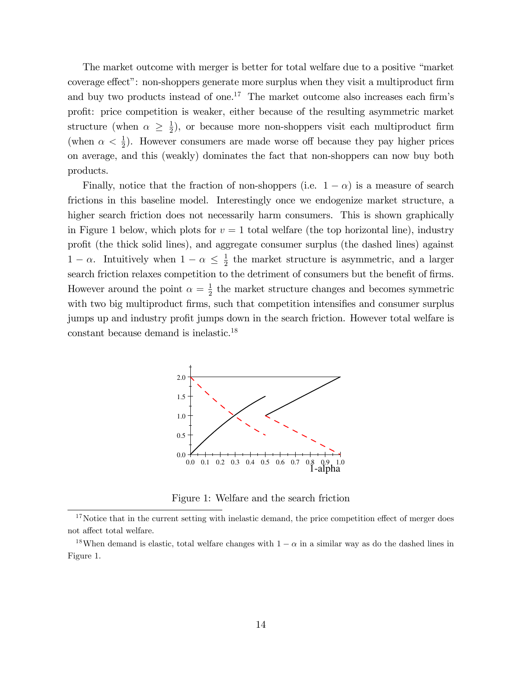The market outcome with merger is better for total welfare due to a positive "market" coverage effect": non-shoppers generate more surplus when they visit a multiproduct firm and buy two products instead of one.<sup>17</sup> The market outcome also increases each firm's profit: price competition is weaker, either because of the resulting asymmetric market structure (when  $\alpha \geq \frac{1}{2}$  $\frac{1}{2}$ , or because more non-shoppers visit each multiproduct firm (when  $\alpha < \frac{1}{2}$ ). However consumers are made worse off because they pay higher prices on average, and this (weakly) dominates the fact that non-shoppers can now buy both products.

Finally, notice that the fraction of non-shoppers (i.e.  $1 - \alpha$ ) is a measure of search frictions in this baseline model. Interestingly once we endogenize market structure, a higher search friction does not necessarily harm consumers. This is shown graphically in Figure 1 below, which plots for  $v = 1$  total welfare (the top horizontal line), industry profit (the thick solid lines), and aggregate consumer surplus (the dashed lines) against  $1 - \alpha$ . Intuitively when  $1 - \alpha \leq \frac{1}{2}$  $\frac{1}{2}$  the market structure is asymmetric, and a larger search friction relaxes competition to the detriment of consumers but the benefit of firms. However around the point  $\alpha = \frac{1}{2}$  $\frac{1}{2}$  the market structure changes and becomes symmetric with two big multiproduct firms, such that competition intensifies and consumer surplus jumps up and industry profit jumps down in the search friction. However total welfare is constant because demand is inelastic.<sup>18</sup>



Figure 1: Welfare and the search friction

 $17$ Notice that in the current setting with inelastic demand, the price competition effect of merger does  $\,$  not affect total welfare.

<sup>&</sup>lt;sup>18</sup>When demand is elastic, total welfare changes with  $1 - \alpha$  in a similar way as do the dashed lines in Figure 1.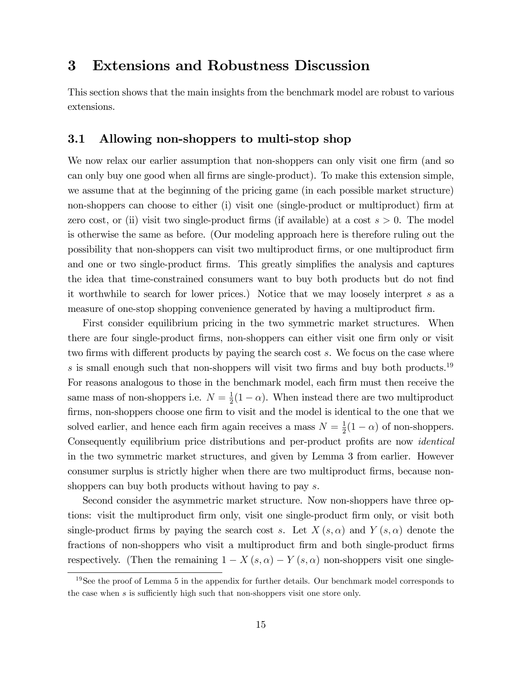## 3 Extensions and Robustness Discussion

This section shows that the main insights from the benchmark model are robust to various extensions.

#### 3.1 Allowing non-shoppers to multi-stop shop

We now relax our earlier assumption that non-shoppers can only visit one firm (and so can only buy one good when all firms are single-product). To make this extension simple, we assume that at the beginning of the pricing game (in each possible market structure) non-shoppers can choose to either (i) visit one (single-product or multiproduct) firm at zero cost, or (ii) visit two single-product firms (if available) at a cost  $s > 0$ . The model is otherwise the same as before. (Our modeling approach here is therefore ruling out the possibility that non-shoppers can visit two multiproduct Örms, or one multiproduct Örm and one or two single-product firms. This greatly simplifies the analysis and captures the idea that time-constrained consumers want to buy both products but do not find it worthwhile to search for lower prices.) Notice that we may loosely interpret s as a measure of one-stop shopping convenience generated by having a multiproduct firm.

First consider equilibrium pricing in the two symmetric market structures. When there are four single-product firms, non-shoppers can either visit one firm only or visit two firms with different products by paying the search cost  $s$ . We focus on the case where s is small enough such that non-shoppers will visit two firms and buy both products.<sup>19</sup> For reasons analogous to those in the benchmark model, each firm must then receive the same mass of non-shoppers i.e.  $N=\frac{1}{2}$  $\frac{1}{2}(1-\alpha)$ . When instead there are two multiproduct firms, non-shoppers choose one firm to visit and the model is identical to the one that we solved earlier, and hence each firm again receives a mass  $N = \frac{1}{2}$  $\frac{1}{2}(1-\alpha)$  of non-shoppers. Consequently equilibrium price distributions and per-product profits are now *identical* in the two symmetric market structures, and given by Lemma 3 from earlier. However consumer surplus is strictly higher when there are two multiproduct firms, because nonshoppers can buy both products without having to pay s.

Second consider the asymmetric market structure. Now non-shoppers have three options: visit the multiproduct firm only, visit one single-product firm only, or visit both single-product firms by paying the search cost s. Let  $X(s, \alpha)$  and  $Y(s, \alpha)$  denote the fractions of non-shoppers who visit a multiproduct firm and both single-product firms respectively. (Then the remaining  $1 - X(s, \alpha) - Y(s, \alpha)$  non-shoppers visit one single-

<sup>&</sup>lt;sup>19</sup>See the proof of Lemma 5 in the appendix for further details. Our benchmark model corresponds to the case when  $s$  is sufficiently high such that non-shoppers visit one store only.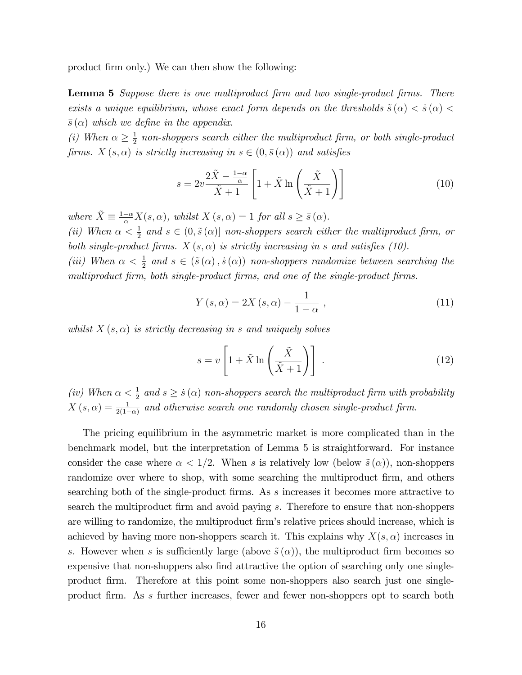product firm only.) We can then show the following:

**Lemma 5** Suppose there is one multiproduct firm and two single-product firms. There exists a unique equilibrium, whose exact form depends on the thresholds  $\tilde{s}(\alpha) < \dot{s}(\alpha) <$  $\bar{s}(\alpha)$  which we define in the appendix.

(*i*) When  $\alpha \geq \frac{1}{2}$  $\frac{1}{2}$  non-shoppers search either the multiproduct firm, or both single-product firms.  $X(s, \alpha)$  is strictly increasing in  $s \in (0, \bar{s}(\alpha))$  and satisfies

$$
s = 2v \frac{2\tilde{X} - \frac{1-\alpha}{\alpha}}{\tilde{X} + 1} \left[ 1 + \tilde{X} \ln \left( \frac{\tilde{X}}{\tilde{X} + 1} \right) \right]
$$
(10)

where  $\tilde{X} \equiv \frac{1-\alpha}{\alpha} X(s, \alpha)$ , whilst  $X(s, \alpha) = 1$  for all  $s \ge \bar{s}(\alpha)$ .

(ii) When  $\alpha < \frac{1}{2}$  and  $s \in (0, \tilde{s}(\alpha)]$  non-shoppers search either the multiproduct firm, or both single-product firms.  $X(s, \alpha)$  is strictly increasing in s and satisfies (10).

(iii) When  $\alpha < \frac{1}{2}$  and  $s \in (\tilde{s}(\alpha), \dot{s}(\alpha))$  non-shoppers randomize between searching the multiproduct firm, both single-product firms, and one of the single-product firms.

$$
Y(s,\alpha) = 2X(s,\alpha) - \frac{1}{1-\alpha} , \qquad (11)
$$

whilst  $X(s, \alpha)$  is strictly decreasing in s and uniquely solves

$$
s = v \left[ 1 + \tilde{X} \ln \left( \frac{\tilde{X}}{\tilde{X} + 1} \right) \right] \,. \tag{12}
$$

(iv) When  $\alpha < \frac{1}{2}$  and  $s \geq \dot{s}(\alpha)$  non-shoppers search the multiproduct firm with probability  $X(s, \alpha) = \frac{1}{2(1-\alpha)}$  and otherwise search one randomly chosen single-product firm.

The pricing equilibrium in the asymmetric market is more complicated than in the benchmark model, but the interpretation of Lemma 5 is straightforward. For instance consider the case where  $\alpha < 1/2$ . When s is relatively low (below  $\tilde{s}(\alpha)$ ), non-shoppers randomize over where to shop, with some searching the multiproduct firm, and others searching both of the single-product firms. As s increases it becomes more attractive to search the multiproduct firm and avoid paying s. Therefore to ensure that non-shoppers are willing to randomize, the multiproduct firm's relative prices should increase, which is achieved by having more non-shoppers search it. This explains why  $X(s, \alpha)$  increases in s. However when s is sufficiently large (above  $\tilde{s}(\alpha)$ ), the multiproduct firm becomes so expensive that non-shoppers also find attractive the option of searching only one singleproduct firm. Therefore at this point some non-shoppers also search just one singleproduct firm. As s further increases, fewer and fewer non-shoppers opt to search both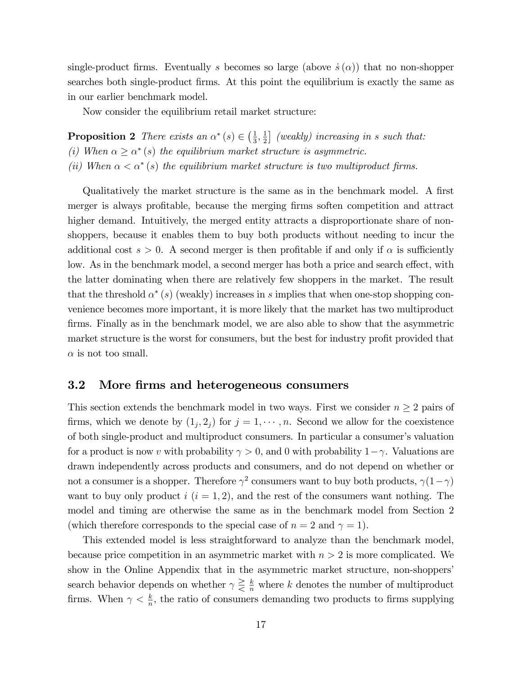single-product firms. Eventually s becomes so large (above  $\dot{s}(\alpha)$ ) that no non-shopper searches both single-product firms. At this point the equilibrium is exactly the same as in our earlier benchmark model.

Now consider the equilibrium retail market structure:

**Proposition 2** There exists an  $\alpha^*(s) \in \left(\frac{1}{3}\right)$  $\frac{1}{3}, \frac{1}{2}$  $\frac{1}{2}$  (weakly) increasing in s such that: (i) When  $\alpha \geq \alpha^*$  (s) the equilibrium market structure is asymmetric.

(ii) When  $\alpha < \alpha^*$  (s) the equilibrium market structure is two multiproduct firms.

Qualitatively the market structure is the same as in the benchmark model. A first merger is always profitable, because the merging firms soften competition and attract higher demand. Intuitively, the merged entity attracts a disproportionate share of nonshoppers, because it enables them to buy both products without needing to incur the additional cost  $s > 0$ . A second merger is then profitable if and only if  $\alpha$  is sufficiently low. As in the benchmark model, a second merger has both a price and search effect, with the latter dominating when there are relatively few shoppers in the market. The result that the threshold  $\alpha^*(s)$  (weakly) increases in s implies that when one-stop shopping convenience becomes more important, it is more likely that the market has two multiproduct firms. Finally as in the benchmark model, we are also able to show that the asymmetric market structure is the worst for consumers, but the best for industry profit provided that  $\alpha$  is not too small.

### 3.2 More firms and heterogeneous consumers

This section extends the benchmark model in two ways. First we consider  $n \geq 2$  pairs of firms, which we denote by  $(1_j, 2_j)$  for  $j = 1, \dots, n$ . Second we allow for the coexistence of both single-product and multiproduct consumers. In particular a consumerís valuation for a product is now v with probability  $\gamma > 0$ , and 0 with probability  $1 - \gamma$ . Valuations are drawn independently across products and consumers, and do not depend on whether or not a consumer is a shopper. Therefore  $\gamma^2$  consumers want to buy both products,  $\gamma(1-\gamma)$ want to buy only product  $i$   $(i = 1, 2)$ , and the rest of the consumers want nothing. The model and timing are otherwise the same as in the benchmark model from Section 2 (which therefore corresponds to the special case of  $n = 2$  and  $\gamma = 1$ ).

This extended model is less straightforward to analyze than the benchmark model, because price competition in an asymmetric market with  $n > 2$  is more complicated. We show in the Online Appendix that in the asymmetric market structure, non-shoppers' search behavior depends on whether  $\gamma \geq \frac{k}{n}$  where k denotes the number of multiproduct firms. When  $\gamma < \frac{k}{n}$ , the ratio of consumers demanding two products to firms supplying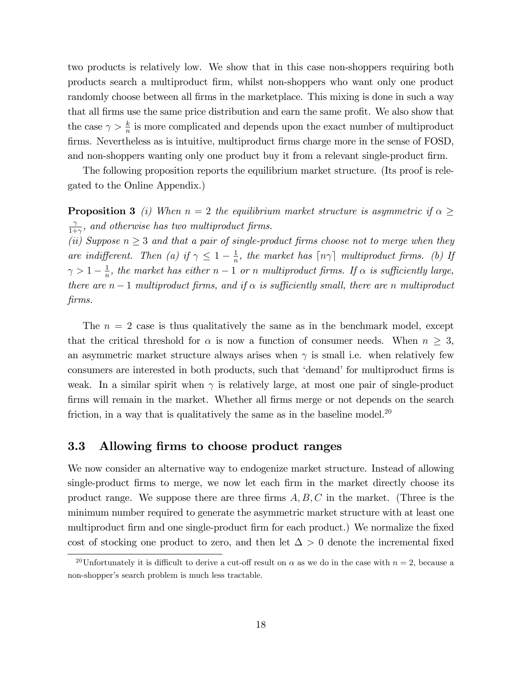two products is relatively low. We show that in this case non-shoppers requiring both products search a multiproduct Örm, whilst non-shoppers who want only one product randomly choose between all firms in the marketplace. This mixing is done in such a way that all firms use the same price distribution and earn the same profit. We also show that the case  $\gamma > \frac{k}{n}$  is more complicated and depends upon the exact number of multiproduct firms. Nevertheless as is intuitive, multiproduct firms charge more in the sense of FOSD, and non-shoppers wanting only one product buy it from a relevant single-product firm.

The following proposition reports the equilibrium market structure. (Its proof is relegated to the Online Appendix.)

**Proposition 3** (i) When  $n = 2$  the equilibrium market structure is asymmetric if  $\alpha \geq$  $\gamma$  $\frac{\gamma}{1+\gamma}$ , and otherwise has two multiproduct firms.

(ii) Suppose  $n \geq 3$  and that a pair of single-product firms choose not to merge when they are indifferent. Then (a) if  $\gamma \leq 1 - \frac{1}{n}$  $\frac{1}{n}$ , the market has  $\lceil n\gamma \rceil$  multiproduct firms. (b) If  $\gamma > 1 - \frac{1}{n}$  $\frac{1}{n}$ , the market has either  $n-1$  or n multiproduct firms. If  $\alpha$  is sufficiently large, there are  $n-1$  multiproduct firms, and if  $\alpha$  is sufficiently small, there are n multiproduct firms.

The  $n = 2$  case is thus qualitatively the same as in the benchmark model, except that the critical threshold for  $\alpha$  is now a function of consumer needs. When  $n \geq 3$ , an asymmetric market structure always arises when  $\gamma$  is small i.e. when relatively few consumers are interested in both products, such that 'demand' for multiproduct firms is weak. In a similar spirit when  $\gamma$  is relatively large, at most one pair of single-product firms will remain in the market. Whether all firms merge or not depends on the search friction, in a way that is qualitatively the same as in the baseline model.<sup>20</sup>

#### 3.3 Allowing firms to choose product ranges

We now consider an alternative way to endogenize market structure. Instead of allowing single-product firms to merge, we now let each firm in the market directly choose its product range. We suppose there are three firms  $A, B, C$  in the market. (Three is the minimum number required to generate the asymmetric market structure with at least one multiproduct Örm and one single-product Örm for each product.) We normalize the Öxed cost of stocking one product to zero, and then let  $\Delta > 0$  denote the incremental fixed

<sup>&</sup>lt;sup>20</sup>Unfortunately it is difficult to derive a cut-off result on  $\alpha$  as we do in the case with  $n = 2$ , because a non-shopper's search problem is much less tractable.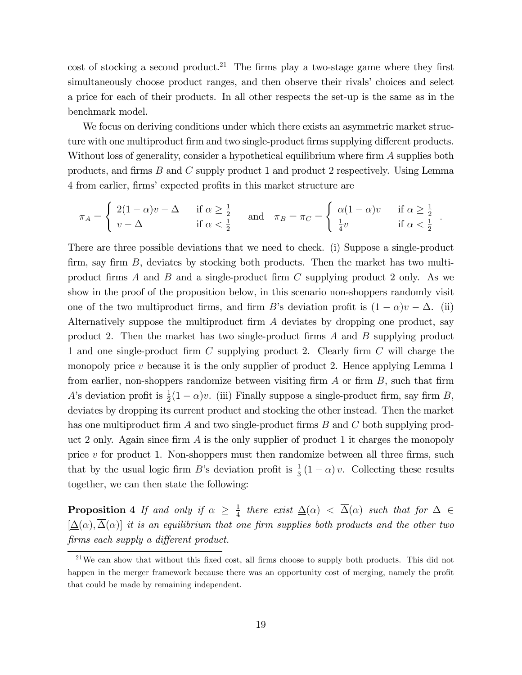cost of stocking a second product.<sup>21</sup> The firms play a two-stage game where they first simultaneously choose product ranges, and then observe their rivals' choices and select a price for each of their products. In all other respects the set-up is the same as in the benchmark model.

We focus on deriving conditions under which there exists an asymmetric market structure with one multiproduct firm and two single-product firms supplying different products. Without loss of generality, consider a hypothetical equilibrium where firm  $A$  supplies both products, and firms  $B$  and  $C$  supply product 1 and product 2 respectively. Using Lemma 4 from earlier, firms' expected profits in this market structure are

$$
\pi_A = \begin{cases} 2(1-\alpha)v - \Delta & \text{if } \alpha \ge \frac{1}{2} \\ v - \Delta & \text{if } \alpha < \frac{1}{2} \end{cases} \text{ and } \pi_B = \pi_C = \begin{cases} \alpha(1-\alpha)v & \text{if } \alpha \ge \frac{1}{2} \\ \frac{1}{4}v & \text{if } \alpha < \frac{1}{2} \end{cases}
$$

:

There are three possible deviations that we need to check. (i) Suppose a single-product firm, say firm  $B$ , deviates by stocking both products. Then the market has two multiproduct firms A and B and a single-product firm C supplying product 2 only. As we show in the proof of the proposition below, in this scenario non-shoppers randomly visit one of the two multiproduct firms, and firm B's deviation profit is  $(1 - \alpha)v - \Delta$ . (ii) Alternatively suppose the multiproduct firm  $A$  deviates by dropping one product, say product 2. Then the market has two single-product firms  $A$  and  $B$  supplying product 1 and one single-product firm  $C$  supplying product 2. Clearly firm  $C$  will charge the monopoly price  $v$  because it is the only supplier of product 2. Hence applying Lemma 1 from earlier, non-shoppers randomize between visiting firm  $A$  or firm  $B$ , such that firm A's deviation profit is  $\frac{1}{2}(1-\alpha)v$ . (iii) Finally suppose a single-product firm, say firm B, deviates by dropping its current product and stocking the other instead. Then the market has one multiproduct firm A and two single-product firms B and C both supplying product 2 only. Again since firm  $\tilde{A}$  is the only supplier of product 1 it charges the monopoly price  $v$  for product 1. Non-shoppers must then randomize between all three firms, such that by the usual logic firm B's deviation profit is  $\frac{1}{3}(1-\alpha)v$ . Collecting these results together, we can then state the following:

**Proposition 4** If and only if  $\alpha \geq \frac{1}{4}$  $\frac{1}{4}$  there exist  $\Delta(\alpha) < \Delta(\alpha)$  such that for  $\Delta \in$  $[\Delta(\alpha), \overline{\Delta}(\alpha)]$  it is an equilibrium that one firm supplies both products and the other two firms each supply a different product.

 $21\,\text{We can show that without this fixed cost, all firms choose to supply both products. This did not$ happen in the merger framework because there was an opportunity cost of merging, namely the profit that could be made by remaining independent.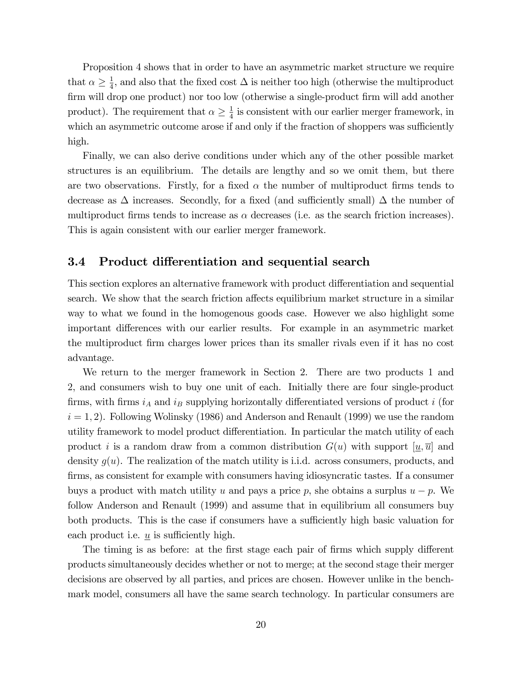Proposition 4 shows that in order to have an asymmetric market structure we require that  $\alpha \geq \frac{1}{4}$  $\frac{1}{4}$ , and also that the fixed cost  $\Delta$  is neither too high (otherwise the multiproduct firm will drop one product) nor too low (otherwise a single-product firm will add another product). The requirement that  $\alpha \geq \frac{1}{4}$  $\frac{1}{4}$  is consistent with our earlier merger framework, in which an asymmetric outcome arose if and only if the fraction of shoppers was sufficiently high.

Finally, we can also derive conditions under which any of the other possible market structures is an equilibrium. The details are lengthy and so we omit them, but there are two observations. Firstly, for a fixed  $\alpha$  the number of multiproduct firms tends to decrease as  $\Delta$  increases. Secondly, for a fixed (and sufficiently small)  $\Delta$  the number of multiproduct firms tends to increase as  $\alpha$  decreases (i.e. as the search friction increases). This is again consistent with our earlier merger framework.

### 3.4 Product differentiation and sequential search

This section explores an alternative framework with product differentiation and sequential search. We show that the search friction affects equilibrium market structure in a similar way to what we found in the homogenous goods case. However we also highlight some important differences with our earlier results. For example in an asymmetric market the multiproduct Örm charges lower prices than its smaller rivals even if it has no cost advantage.

We return to the merger framework in Section 2. There are two products 1 and 2, and consumers wish to buy one unit of each. Initially there are four single-product firms, with firms  $i_A$  and  $i_B$  supplying horizontally differentiated versions of product i (for  $i = 1, 2$ ). Following Wolinsky (1986) and Anderson and Renault (1999) we use the random utility framework to model product differentiation. In particular the match utility of each product i is a random draw from a common distribution  $G(u)$  with support  $[u,\overline{u}]$  and density  $q(u)$ . The realization of the match utility is i.i.d. across consumers, products, and firms, as consistent for example with consumers having idiosyncratic tastes. If a consumer buys a product with match utility u and pays a price p, she obtains a surplus  $u - p$ . We follow Anderson and Renault (1999) and assume that in equilibrium all consumers buy both products. This is the case if consumers have a sufficiently high basic valuation for each product i.e.  $u$  is sufficiently high.

The timing is as before: at the first stage each pair of firms which supply different products simultaneously decides whether or not to merge; at the second stage their merger decisions are observed by all parties, and prices are chosen. However unlike in the benchmark model, consumers all have the same search technology. In particular consumers are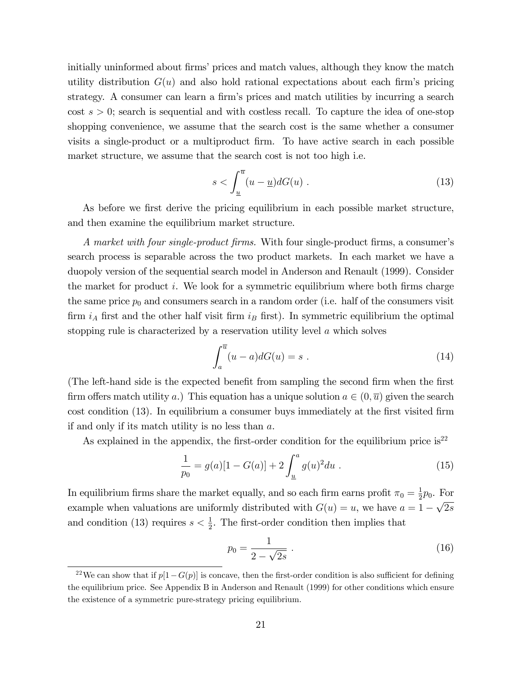initially uninformed about firms' prices and match values, although they know the match utility distribution  $G(u)$  and also hold rational expectations about each firm's pricing strategy. A consumer can learn a firm's prices and match utilities by incurring a search  $\cos t s > 0$ ; search is sequential and with costless recall. To capture the idea of one-stop shopping convenience, we assume that the search cost is the same whether a consumer visits a single-product or a multiproduct firm. To have active search in each possible market structure, we assume that the search cost is not too high i.e.

$$
s < \int_{\underline{u}}^{\overline{u}} (u - \underline{u}) dG(u) \tag{13}
$$

As before we first derive the pricing equilibrium in each possible market structure, and then examine the equilibrium market structure.

A market with four single-product firms. With four single-product firms, a consumer's search process is separable across the two product markets. In each market we have a duopoly version of the sequential search model in Anderson and Renault (1999). Consider the market for product i. We look for a symmetric equilibrium where both firms charge the same price  $p_0$  and consumers search in a random order (i.e. half of the consumers visit firm  $i_A$  first and the other half visit firm  $i_B$  first). In symmetric equilibrium the optimal stopping rule is characterized by a reservation utility level a which solves

$$
\int_{a}^{\overline{u}} (u-a)dG(u) = s . \tag{14}
$$

(The left-hand side is the expected benefit from sampling the second firm when the first firm offers match utility a.) This equation has a unique solution  $a \in (0, \overline{u})$  given the search cost condition (13). In equilibrium a consumer buys immediately at the first visited firm if and only if its match utility is no less than a.

As explained in the appendix, the first-order condition for the equilibrium price is<sup>22</sup>

$$
\frac{1}{p_0} = g(a)[1 - G(a)] + 2\int_{\underline{u}}^{a} g(u)^2 du . \qquad (15)
$$

In equilibrium firms share the market equally, and so each firm earns profit  $\pi_0 = \frac{1}{2}$  $\frac{1}{2}p_0$ . For example when valuations are uniformly distributed with  $G(u) = u$ , we have  $a = 1 - \sqrt{2s}$ and condition (13) requires  $s < \frac{1}{2}$ . The first-order condition then implies that

$$
p_0 = \frac{1}{2 - \sqrt{2s}} \tag{16}
$$

<sup>&</sup>lt;sup>22</sup>We can show that if  $p[1-G(p)]$  is concave, then the first-order condition is also sufficient for defining the equilibrium price. See Appendix B in Anderson and Renault (1999) for other conditions which ensure the existence of a symmetric pure-strategy pricing equilibrium.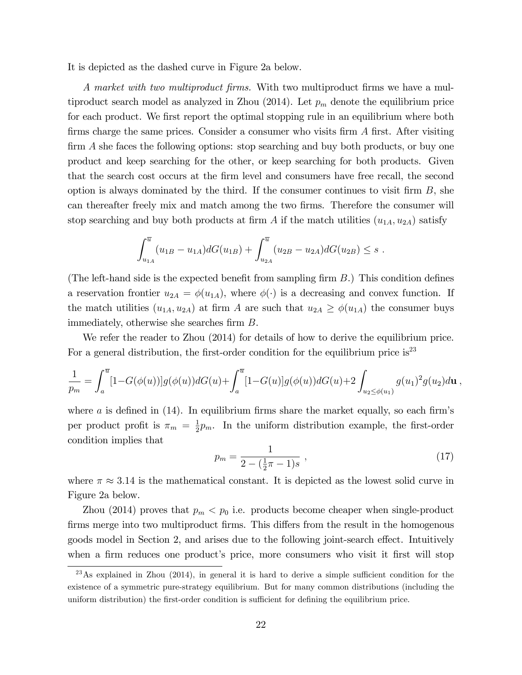It is depicted as the dashed curve in Figure 2a below.

A market with two multiproduct firms. With two multiproduct firms we have a multiproduct search model as analyzed in Zhou  $(2014)$ . Let  $p_m$  denote the equilibrium price for each product. We first report the optimal stopping rule in an equilibrium where both firms charge the same prices. Consider a consumer who visits firm  $A$  first. After visiting  $\dim A$  she faces the following options: stop searching and buy both products, or buy one product and keep searching for the other, or keep searching for both products. Given that the search cost occurs at the Örm level and consumers have free recall, the second option is always dominated by the third. If the consumer continues to visit firm  $B$ , she can thereafter freely mix and match among the two firms. Therefore the consumer will stop searching and buy both products at firm A if the match utilities  $(u_{1A}, u_{2A})$  satisfy

$$
\int_{u_{1A}}^{\overline{u}} (u_{1B} - u_{1A}) dG(u_{1B}) + \int_{u_{2A}}^{\overline{u}} (u_{2B} - u_{2A}) dG(u_{2B}) \leq s.
$$

(The left-hand side is the expected benefit from sampling firm  $B$ .) This condition defines a reservation frontier  $u_{2A} = \phi(u_{1A})$ , where  $\phi(\cdot)$  is a decreasing and convex function. If the match utilities  $(u_{1A}, u_{2A})$  at firm A are such that  $u_{2A} \geq \phi(u_{1A})$  the consumer buys immediately, otherwise she searches firm  $B$ .

We refer the reader to Zhou (2014) for details of how to derive the equilibrium price. For a general distribution, the first-order condition for the equilibrium price is<sup>23</sup>

$$
\frac{1}{p_m} = \int_a^{\overline{u}} [1 - G(\phi(u))] g(\phi(u)) dG(u) + \int_a^{\overline{u}} [1 - G(u)] g(\phi(u)) dG(u) + 2 \int_{u_2 \le \phi(u_1)} g(u_1)^2 g(u_2) d\mathbf{u},
$$

where a is defined in  $(14)$ . In equilibrium firms share the market equally, so each firm's per product profit is  $\pi_m = \frac{1}{2}$  $\frac{1}{2}p_m$ . In the uniform distribution example, the first-order condition implies that

$$
p_m = \frac{1}{2 - (\frac{1}{2}\pi - 1)s} \tag{17}
$$

where  $\pi \approx 3.14$  is the mathematical constant. It is depicted as the lowest solid curve in Figure 2a below.

Zhou (2014) proves that  $p_m < p_0$  i.e. products become cheaper when single-product firms merge into two multiproduct firms. This differs from the result in the homogenous goods model in Section 2, and arises due to the following joint-search effect. Intuitively when a firm reduces one product's price, more consumers who visit it first will stop

 $^{23}$ As explained in Zhou (2014), in general it is hard to derive a simple sufficient condition for the existence of a symmetric pure-strategy equilibrium. But for many common distributions (including the uniform distribution) the first-order condition is sufficient for defining the equilibrium price.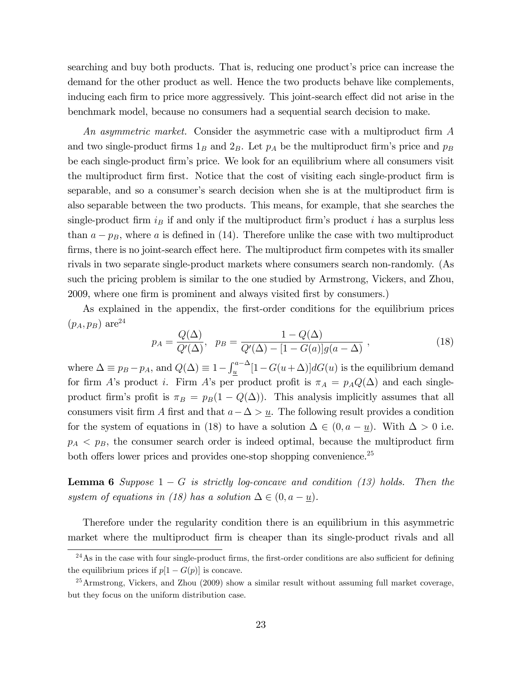searching and buy both products. That is, reducing one product's price can increase the demand for the other product as well. Hence the two products behave like complements, inducing each firm to price more aggressively. This joint-search effect did not arise in the benchmark model, because no consumers had a sequential search decision to make.

An asymmetric market. Consider the asymmetric case with a multiproduct firm  $\tilde{A}$ and two single-product firms  $1_B$  and  $2_B$ . Let  $p_A$  be the multiproduct firm's price and  $p_B$ be each single-product Örmís price. We look for an equilibrium where all consumers visit the multiproduct firm first. Notice that the cost of visiting each single-product firm is separable, and so a consumer's search decision when she is at the multiproduct firm is also separable between the two products. This means, for example, that she searches the single-product firm  $i_B$  if and only if the multiproduct firm's product i has a surplus less than  $a - p_B$ , where a is defined in (14). Therefore unlike the case with two multiproduct firms, there is no joint-search effect here. The multiproduct firm competes with its smaller rivals in two separate single-product markets where consumers search non-randomly. (As such the pricing problem is similar to the one studied by Armstrong, Vickers, and Zhou, 2009, where one firm is prominent and always visited first by consumers.)

As explained in the appendix, the first-order conditions for the equilibrium prices  $(p_A, p_B)$  are<sup>24</sup>

$$
p_A = \frac{Q(\Delta)}{Q'(\Delta)}, \ \ p_B = \frac{1 - Q(\Delta)}{Q'(\Delta) - [1 - G(a)]g(a - \Delta)}, \tag{18}
$$

where  $\Delta \equiv p_B - p_A$ , and  $Q(\Delta) \equiv 1 - \int_{\underline{u}}^{a-\Delta} [1 - G(u+\Delta)] dG(u)$  is the equilibrium demand for firm A's product i. Firm A's per product profit is  $\pi_A = p_A Q(\Delta)$  and each singleproduct firm's profit is  $\pi_B = p_B(1 - Q(\Delta))$ . This analysis implicitly assumes that all consumers visit firm A first and that  $a - \Delta > u$ . The following result provides a condition for the system of equations in (18) to have a solution  $\Delta \in (0, a - \underline{u})$ . With  $\Delta > 0$  i.e.  $p_A < p_B$ , the consumer search order is indeed optimal, because the multiproduct firm both offers lower prices and provides one-stop shopping convenience. $25$ 

**Lemma 6** Suppose  $1 - G$  is strictly log-concave and condition (13) holds. Then the system of equations in (18) has a solution  $\Delta \in (0, a - \underline{u})$ .

Therefore under the regularity condition there is an equilibrium in this asymmetric market where the multiproduct firm is cheaper than its single-product rivals and all

 $^{24}$ As in the case with four single-product firms, the first-order conditions are also sufficient for defining the equilibrium prices if  $p[1 - G(p)]$  is concave.

<sup>&</sup>lt;sup>25</sup> Armstrong, Vickers, and Zhou (2009) show a similar result without assuming full market coverage, but they focus on the uniform distribution case.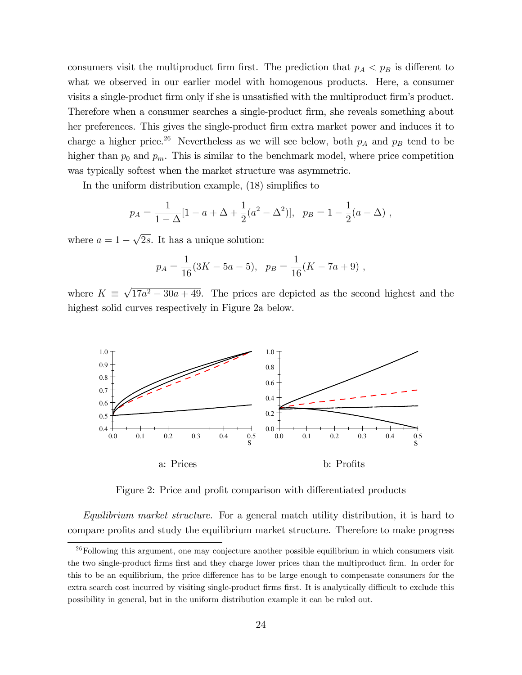consumers visit the multiproduct firm first. The prediction that  $p_A < p_B$  is different to what we observed in our earlier model with homogenous products. Here, a consumer visits a single-product firm only if she is unsatisfied with the multiproduct firm's product. Therefore when a consumer searches a single-product firm, she reveals something about her preferences. This gives the single-product firm extra market power and induces it to charge a higher price.<sup>26</sup> Nevertheless as we will see below, both  $p_A$  and  $p_B$  tend to be higher than  $p_0$  and  $p_m$ . This is similar to the benchmark model, where price competition was typically softest when the market structure was asymmetric.

In the uniform distribution example,  $(18)$  simplifies to

$$
p_A = \frac{1}{1 - \Delta} [1 - a + \Delta + \frac{1}{2} (a^2 - \Delta^2)], \ \ p_B = 1 - \frac{1}{2} (a - \Delta) ,
$$

where  $a = 1 - \sqrt{2s}$ . It has a unique solution:

$$
p_A = \frac{1}{16}(3K - 5a - 5), \quad p_B = \frac{1}{16}(K - 7a + 9) ,
$$

where  $K \equiv \sqrt{17a^2 - 30a + 49}$ . The prices are depicted as the second highest and the highest solid curves respectively in Figure 2a below.



Figure 2: Price and profit comparison with differentiated products

Equilibrium market structure. For a general match utility distribution, it is hard to compare profits and study the equilibrium market structure. Therefore to make progress

 $26$ Following this argument, one may conjecture another possible equilibrium in which consumers visit the two single-product firms first and they charge lower prices than the multiproduct firm. In order for this to be an equilibrium, the price difference has to be large enough to compensate consumers for the extra search cost incurred by visiting single-product firms first. It is analytically difficult to exclude this possibility in general, but in the uniform distribution example it can be ruled out.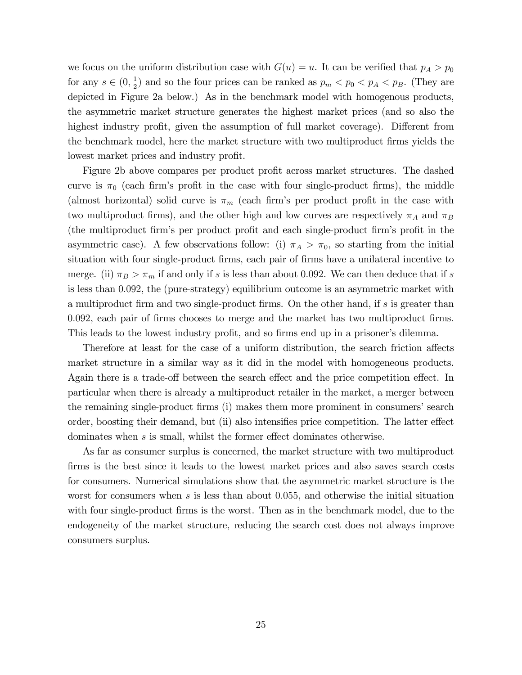we focus on the uniform distribution case with  $G(u) = u$ . It can be verified that  $p_A > p_0$ for any  $s \in (0, \frac{1}{2})$  $\frac{1}{2}$ ) and so the four prices can be ranked as  $p_m < p_0 < p_A < p_B$ . (They are depicted in Figure 2a below.) As in the benchmark model with homogenous products, the asymmetric market structure generates the highest market prices (and so also the highest industry profit, given the assumption of full market coverage). Different from the benchmark model, here the market structure with two multiproduct firms yields the lowest market prices and industry profit.

Figure 2b above compares per product profit across market structures. The dashed curve is  $\pi_0$  (each firm's profit in the case with four single-product firms), the middle (almost horizontal) solid curve is  $\pi_m$  (each firm's per product profit in the case with two multiproduct firms), and the other high and low curves are respectively  $\pi_A$  and  $\pi_B$ (the multiproduct firm's per product profit and each single-product firm's profit in the asymmetric case). A few observations follow: (i)  $\pi_A > \pi_0$ , so starting from the initial situation with four single-product firms, each pair of firms have a unilateral incentive to merge. (ii)  $\pi_B > \pi_m$  if and only if s is less than about 0.092. We can then deduce that if s is less than 0:092, the (pure-strategy) equilibrium outcome is an asymmetric market with a multiproduct firm and two single-product firms. On the other hand, if s is greater than 0.092, each pair of firms chooses to merge and the market has two multiproduct firms. This leads to the lowest industry profit, and so firms end up in a prisoner's dilemma.

Therefore at least for the case of a uniform distribution, the search friction affects market structure in a similar way as it did in the model with homogeneous products. Again there is a trade-off between the search effect and the price competition effect. In particular when there is already a multiproduct retailer in the market, a merger between the remaining single-product firms (i) makes them more prominent in consumers' search order, boosting their demand, but (ii) also intensifies price competition. The latter effect dominates when  $s$  is small, whilst the former effect dominates otherwise.

As far as consumer surplus is concerned, the market structure with two multiproduct firms is the best since it leads to the lowest market prices and also saves search costs for consumers. Numerical simulations show that the asymmetric market structure is the worst for consumers when  $s$  is less than about 0.055, and otherwise the initial situation with four single-product firms is the worst. Then as in the benchmark model, due to the endogeneity of the market structure, reducing the search cost does not always improve consumers surplus.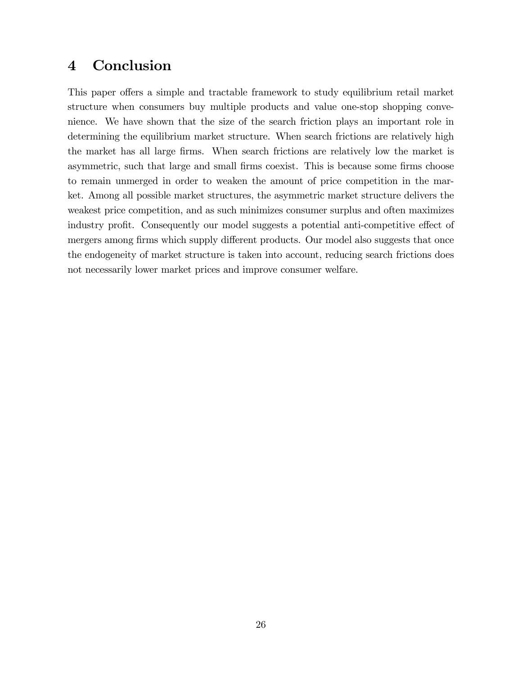# 4 Conclusion

This paper offers a simple and tractable framework to study equilibrium retail market structure when consumers buy multiple products and value one-stop shopping convenience. We have shown that the size of the search friction plays an important role in determining the equilibrium market structure. When search frictions are relatively high the market has all large firms. When search frictions are relatively low the market is asymmetric, such that large and small firms coexist. This is because some firms choose to remain unmerged in order to weaken the amount of price competition in the market. Among all possible market structures, the asymmetric market structure delivers the weakest price competition, and as such minimizes consumer surplus and often maximizes industry profit. Consequently our model suggests a potential anti-competitive effect of mergers among firms which supply different products. Our model also suggests that once the endogeneity of market structure is taken into account, reducing search frictions does not necessarily lower market prices and improve consumer welfare.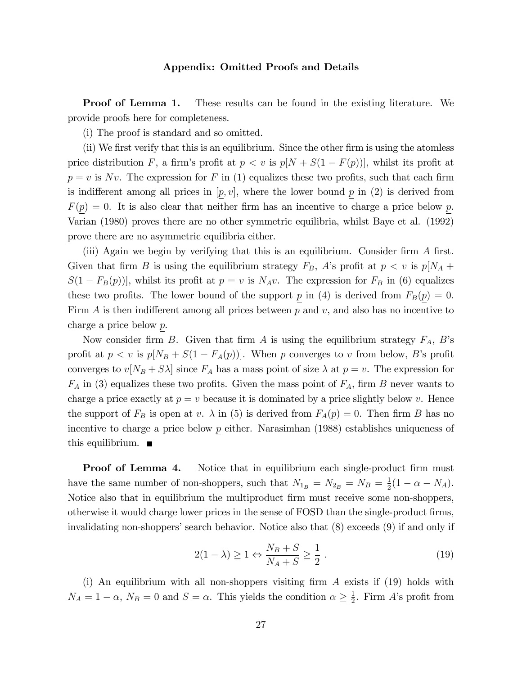#### Appendix: Omitted Proofs and Details

**Proof of Lemma 1.** These results can be found in the existing literature. We provide proofs here for completeness.

(i) The proof is standard and so omitted.

 $(i)$  We first verify that this is an equilibrium. Since the other firm is using the atomless price distribution F, a firm's profit at  $p < v$  is  $p[N + S(1 - F(p))]$ , whilst its profit at  $p = v$  is Nv. The expression for F in (1) equalizes these two profits, such that each firm is indifferent among all prices in  $[p, v]$ , where the lower bound p in (2) is derived from  $F(p) = 0$ . It is also clear that neither firm has an incentive to charge a price below p. Varian (1980) proves there are no other symmetric equilibria, whilst Baye et al. (1992) prove there are no asymmetric equilibria either.

(iii) Again we begin by verifying that this is an equilibrium. Consider firm  $\tilde{A}$  first. Given that firm B is using the equilibrium strategy  $F_B$ , A's profit at  $p < v$  is  $p[N_A +$  $S(1 - F_B(p))$ , whilst its profit at  $p = v$  is  $N_A v$ . The expression for  $F_B$  in (6) equalizes these two profits. The lower bound of the support p in (4) is derived from  $F_B(p) = 0$ . Firm  $A$  is then indifferent among all prices between  $p$  and  $v$ , and also has no incentive to charge a price below p.

Now consider firm B. Given that firm A is using the equilibrium strategy  $F_A$ , B's profit at  $p < v$  is  $p[N_B + S(1 - F_A(p))]$ . When p converges to v from below, B's profit converges to  $v[N_B + S\lambda]$  since  $F_A$  has a mass point of size  $\lambda$  at  $p = v$ . The expression for  $F_A$  in (3) equalizes these two profits. Given the mass point of  $F_A$ , firm B never wants to charge a price exactly at  $p = v$  because it is dominated by a price slightly below v. Hence the support of  $F_B$  is open at v.  $\lambda$  in (5) is derived from  $F_A(p) = 0$ . Then firm B has no incentive to charge a price below  $p$  either. Narasimhan (1988) establishes uniqueness of this equilibrium.  $\blacksquare$ 

**Proof of Lemma 4.** Notice that in equilibrium each single-product firm must have the same number of non-shoppers, such that  $N_{1_B} = N_{2_B} = N_B = \frac{1}{2}$  $\frac{1}{2}(1 - \alpha - N_A).$ Notice also that in equilibrium the multiproduct firm must receive some non-shoppers, otherwise it would charge lower prices in the sense of FOSD than the single-product firms, invalidating non-shoppersí search behavior. Notice also that (8) exceeds (9) if and only if

$$
2(1 - \lambda) \ge 1 \Leftrightarrow \frac{N_B + S}{N_A + S} \ge \frac{1}{2} \,. \tag{19}
$$

(i) An equilibrium with all non-shoppers visiting firm  $A$  exists if (19) holds with  $N_A = 1 - \alpha$ ,  $N_B = 0$  and  $S = \alpha$ . This yields the condition  $\alpha \geq \frac{1}{2}$  $\frac{1}{2}$ . Firm A's profit from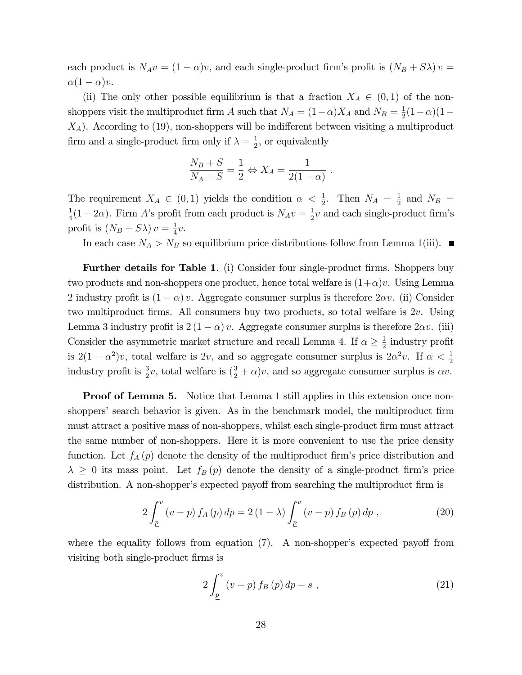each product is  $N_A v = (1 - \alpha)v$ , and each single-product firm's profit is  $(N_B + S\lambda)v =$  $\alpha(1 - \alpha)v$ .

(ii) The only other possible equilibrium is that a fraction  $X_A \in (0,1)$  of the nonshoppers visit the multiproduct firm A such that  $N_A = (1 - \alpha)X_A$  and  $N_B = \frac{1}{2}$  $\frac{1}{2}(1-\alpha)(1-\alpha)$  $X_A$ ). According to (19), non-shoppers will be indifferent between visiting a multiproduct firm and a single-product firm only if  $\lambda = \frac{1}{2}$  $\frac{1}{2}$ , or equivalently

$$
\frac{N_B + S}{N_A + S} = \frac{1}{2} \Leftrightarrow X_A = \frac{1}{2(1 - \alpha)}.
$$

The requirement  $X_A \in (0,1)$  yields the condition  $\alpha < \frac{1}{2}$ . Then  $N_A = \frac{1}{2}$  $rac{1}{2}$  and  $N_B =$ 1  $\frac{1}{4}(1-2\alpha)$ . Firm A's profit from each product is  $N_A v = \frac{1}{2}$  $\frac{1}{2}v$  and each single-product firm's profit is  $(N_B + S\lambda)v = \frac{1}{4}$  $rac{1}{4}v.$ 

In each case  $N_A > N_B$  so equilibrium price distributions follow from Lemma 1(iii).

**Further details for Table 1.** (i) Consider four single-product firms. Shoppers buy two products and non-shoppers one product, hence total welfare is  $(1+\alpha)v$ . Using Lemma 2 industry profit is  $(1 - \alpha)v$ . Aggregate consumer surplus is therefore  $2\alpha v$ . (ii) Consider two multiproduct firms. All consumers buy two products, so total welfare is 2v. Using Lemma 3 industry profit is  $2(1 - \alpha)v$ . Aggregate consumer surplus is therefore  $2\alpha v$ . (iii) Consider the asymmetric market structure and recall Lemma 4. If  $\alpha \ge \frac{1}{2}$  $\frac{1}{2}$  industry profit is  $2(1 - \alpha^2)v$ , total welfare is 2v, and so aggregate consumer surplus is  $2\alpha^2v$ . If  $\alpha < \frac{1}{2}$ industry profit is  $\frac{3}{2}v$ , total welfare is  $(\frac{3}{2} + \alpha)v$ , and so aggregate consumer surplus is  $\alpha v$ .

**Proof of Lemma 5.** Notice that Lemma 1 still applies in this extension once nonshoppers' search behavior is given. As in the benchmark model, the multiproduct firm must attract a positive mass of non-shoppers, whilst each single-product Örm must attract the same number of non-shoppers. Here it is more convenient to use the price density function. Let  $f_A(p)$  denote the density of the multiproduct firm's price distribution and  $\lambda \geq 0$  its mass point. Let  $f_B(p)$  denote the density of a single-product firm's price distribution. A non-shopper's expected payoff from searching the multiproduct firm is

$$
2\int_{\underline{p}}^{v} (v-p) f_A(p) dp = 2 (1-\lambda) \int_{\underline{p}}^{v} (v-p) f_B(p) dp , \qquad (20)
$$

where the equality follows from equation  $(7)$ . A non-shopper's expected payoff from visiting both single-product firms is

$$
2\int_{\underline{p}}^{v}\left(v-p\right)f_{B}\left(p\right)dp-s\;, \tag{21}
$$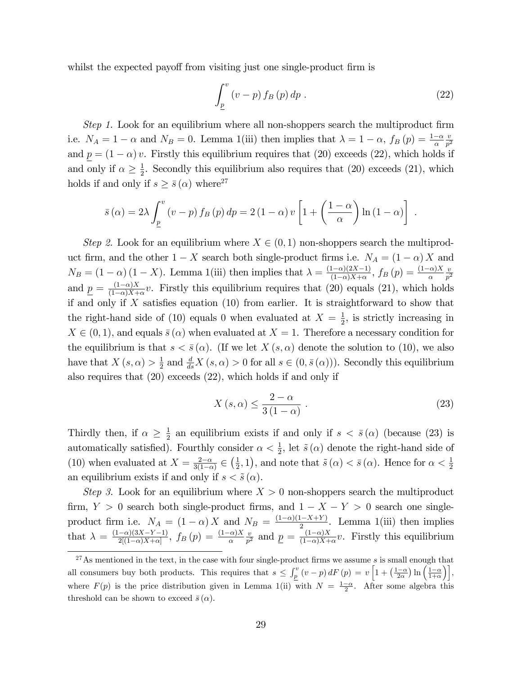whilst the expected payoff from visiting just one single-product firm is

$$
\int_{\underline{p}}^{v} \left(v - p\right) f_B\left(p\right) dp \tag{22}
$$

Step 1. Look for an equilibrium where all non-shoppers search the multiproduct firm i.e.  $N_A = 1 - \alpha$  and  $N_B = 0$ . Lemma 1(iii) then implies that  $\lambda = 1 - \alpha$ ,  $f_B(p) = \frac{1 - \alpha}{\alpha}$  $\overline{v}$  $\overline{p^2}$ and  $\underline{p} = (1 - \alpha) v$ . Firstly this equilibrium requires that (20) exceeds (22), which holds if and only if  $\alpha \geq \frac{1}{2}$  $\frac{1}{2}$ . Secondly this equilibrium also requires that (20) exceeds (21), which holds if and only if  $s \geq \bar{s}(\alpha)$  where<sup>27</sup>

$$
\bar{s}(\alpha) = 2\lambda \int_{\underline{p}}^{v} (v - p) f_{B}(p) dp = 2 (1 - \alpha) v \left[ 1 + \left( \frac{1 - \alpha}{\alpha} \right) \ln (1 - \alpha) \right].
$$

Step 2. Look for an equilibrium where  $X \in (0, 1)$  non-shoppers search the multiproduct firm, and the other  $1 - X$  search both single-product firms i.e.  $N_A = (1 - \alpha) X$  and  $N_B = (1 - \alpha) (1 - X)$ . Lemma 1(iii) then implies that  $\lambda = \frac{(1 - \alpha)(2X - 1)}{(1 - \alpha)X + \alpha}$  $\frac{(1-\alpha)(2X-1)}{(1-\alpha)X+\alpha}$ ,  $f_B(p) = \frac{(1-\alpha)X}{\alpha}$  $\overline{v}$  $\overline{p^2}$ and  $p = \frac{(1-\alpha)X}{(1-\alpha)X+1}$  $\frac{(1-\alpha)X}{(1-\alpha)X+\alpha}v$ . Firstly this equilibrium requires that (20) equals (21), which holds if and only if X satisfies equation  $(10)$  from earlier. It is straightforward to show that the right-hand side of (10) equals 0 when evaluated at  $X = \frac{1}{2}$  $\frac{1}{2}$ , is strictly increasing in  $X \in (0, 1)$ , and equals  $\overline{s}(\alpha)$  when evaluated at  $X = 1$ . Therefore a necessary condition for the equilibrium is that  $s < \bar{s}(\alpha)$ . (If we let  $X(s, \alpha)$  denote the solution to (10), we also have that  $X(s, \alpha) > \frac{1}{2}$  $\frac{1}{2}$  and  $\frac{d}{ds}X(s,\alpha) > 0$  for all  $s \in (0,\bar{s}(\alpha))$ . Secondly this equilibrium also requires that (20) exceeds (22), which holds if and only if

$$
X(s,\alpha) \le \frac{2-\alpha}{3(1-\alpha)}\,. \tag{23}
$$

Thirdly then, if  $\alpha \geq \frac{1}{2}$  $\frac{1}{2}$  an equilibrium exists if and only if  $s < \bar{s}(\alpha)$  (because (23) is automatically satisfied). Fourthly consider  $\alpha < \frac{1}{2}$ , let  $\tilde{s}(\alpha)$  denote the right-hand side of (10) when evaluated at  $X = \frac{2-\alpha}{3(1-\alpha)}$  $\frac{2-\alpha}{3(1-\alpha)} \in \left(\frac{1}{2}\right)$  $(\frac{1}{2}, 1)$ , and note that  $\tilde{s}(\alpha) < \bar{s}(\alpha)$ . Hence for  $\alpha < \frac{1}{2}$ an equilibrium exists if and only if  $s < \tilde{s}(\alpha)$ .

Step 3. Look for an equilibrium where  $X > 0$  non-shoppers search the multiproduct firm,  $Y > 0$  search both single-product firms, and  $1 - X - Y > 0$  search one singleproduct firm i.e.  $N_A = (1 - \alpha) X$  and  $N_B = \frac{(1 - \alpha)(1 - X + Y)}{2}$  $\frac{1-x+r}{2}$ . Lemma 1(iii) then implies that  $\lambda = \frac{(1-\alpha)(3X-Y-1)}{2[(1-\alpha)X+\alpha]}$  $\frac{(-\alpha)(3X-Y-1)}{2[(1-\alpha)X+\alpha]},\ f_B\left(p\right)=\frac{(1-\alpha)X}{\alpha}$  $\overline{v}$  $\frac{v}{p^2}$  and  $\underline{p} = \frac{(1-\alpha)X}{(1-\alpha)X+1}$  $\frac{(1-\alpha)X}{(1-\alpha)X+\alpha}v$ . Firstly this equilibrium

 $27$ As mentioned in the text, in the case with four single-product firms we assume s is small enough that all consumers buy both products. This requires that  $s \leq \int_p^v (v-p) dF(p) = v \left[1 + \left(\frac{1-\alpha}{2\alpha}\right) \ln\left(\frac{1-\alpha}{1+\alpha}\right)\right],$ where  $F(p)$  is the price distribution given in Lemma 1(ii) with  $N = \frac{1-\alpha}{2}$ . After some algebra this threshold can be shown to exceed  $\bar{s}(\alpha)$ .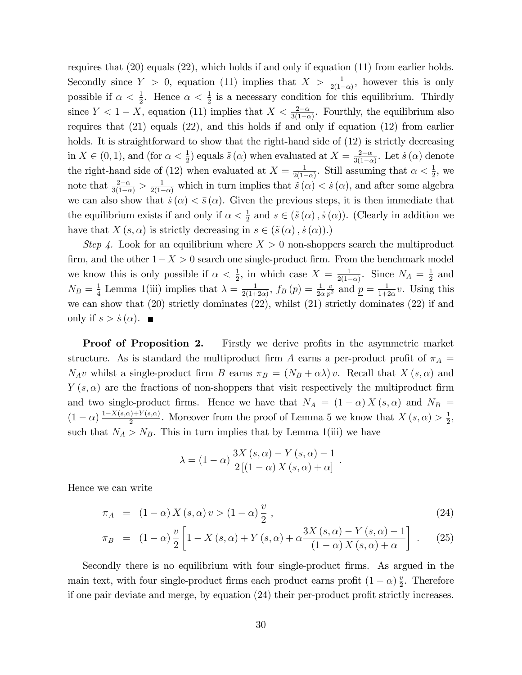requires that (20) equals (22), which holds if and only if equation (11) from earlier holds. Secondly since  $Y > 0$ , equation (11) implies that  $X > \frac{1}{2(1-\alpha)}$ , however this is only possible if  $\alpha < \frac{1}{2}$ . Hence  $\alpha < \frac{1}{2}$  is a necessary condition for this equilibrium. Thirdly since  $Y < 1 - X$ , equation (11) implies that  $X < \frac{2-\alpha}{3(1-\alpha)}$ . Fourthly, the equilibrium also requires that (21) equals (22), and this holds if and only if equation (12) from earlier holds. It is straightforward to show that the right-hand side of  $(12)$  is strictly decreasing in  $X \in (0, 1)$ , and (for  $\alpha < \frac{1}{2}$ ) equals  $\tilde{s}(\alpha)$  when evaluated at  $X = \frac{2-\alpha}{3(1-\alpha)}$  $\frac{2-\alpha}{3(1-\alpha)}$ . Let  $\dot{s}(\alpha)$  denote the right-hand side of (12) when evaluated at  $X = \frac{1}{2(1 - x^2)}$  $\frac{1}{2(1-\alpha)}$ . Still assuming that  $\alpha < \frac{1}{2}$ , we note that  $\frac{2-\alpha}{3(1-\alpha)} > \frac{1}{2(1-\alpha)}$  which in turn implies that  $\tilde{s}(\alpha) < \dot{s}(\alpha)$ , and after some algebra we can also show that  $\dot{s} (\alpha) < \bar{s} (\alpha)$ . Given the previous steps, it is then immediate that the equilibrium exists if and only if  $\alpha < \frac{1}{2}$  and  $s \in (\tilde{s}(\alpha), \dot{s}(\alpha))$ . (Clearly in addition we have that  $X (s, \alpha)$  is strictly decreasing in  $s \in (\tilde{s} (\alpha), \dot{s} (\alpha)).$ 

Step 4. Look for an equilibrium where  $X > 0$  non-shoppers search the multiproduct firm, and the other  $1-X > 0$  search one single-product firm. From the benchmark model we know this is only possible if  $\alpha < \frac{1}{2}$ , in which case  $X = \frac{1}{2(1-\alpha)}$  $\frac{1}{2(1-\alpha)}$ . Since  $N_A = \frac{1}{2}$  $rac{1}{2}$  and  $N_B = \frac{1}{4}$  $\frac{1}{4}$  Lemma 1(iii) implies that  $\lambda = \frac{1}{2(1+1)}$  $\frac{1}{2(1+2\alpha)}$ ,  $f_B(p) = \frac{1}{2\alpha}$  $\overline{v}$  $\frac{v}{p^2}$  and  $\underline{p} = \frac{1}{1+i}$  $\frac{1}{1+2\alpha}v$ . Using this we can show that (20) strictly dominates (22), whilst (21) strictly dominates (22) if and only if  $s > \dot{s}(\alpha)$ .

**Proof of Proposition 2.** Firstly we derive profits in the asymmetric market structure. As is standard the multiproduct firm A earns a per-product profit of  $\pi_A$  =  $N_A v$  whilst a single-product firm B earns  $\pi_B = (N_B + \alpha \lambda) v$ . Recall that  $X(s, \alpha)$  and  $Y(s, \alpha)$  are the fractions of non-shoppers that visit respectively the multiproduct firm and two single-product firms. Hence we have that  $N_A = (1 - \alpha) X(s, \alpha)$  and  $N_B =$  $(1-\alpha)\frac{1-X(s,\alpha)+Y(s,\alpha)}{2}$  $\frac{2}{2} \sum_{i=1}^{N} X_i(s, \alpha)$ . Moreover from the proof of Lemma 5 we know that  $X(s, \alpha) > \frac{1}{2}$  $\frac{1}{2}$ , such that  $N_A > N_B$ . This in turn implies that by Lemma 1(iii) we have

$$
\lambda = (1 - \alpha) \frac{3X(s, \alpha) - Y(s, \alpha) - 1}{2[(1 - \alpha) X(s, \alpha) + \alpha]}
$$

Hence we can write

$$
\pi_A = (1 - \alpha) X(s, \alpha) v > (1 - \alpha) \frac{v}{2}, \qquad (24)
$$

:

$$
\pi_B = (1 - \alpha) \frac{v}{2} \left[ 1 - X(s, \alpha) + Y(s, \alpha) + \alpha \frac{3X(s, \alpha) - Y(s, \alpha) - 1}{(1 - \alpha) X(s, \alpha) + \alpha} \right] . \tag{25}
$$

Secondly there is no equilibrium with four single-product Örms. As argued in the main text, with four single-product firms each product earns profit  $(1 - \alpha) \frac{v}{2}$  $\frac{v}{2}$ . Therefore if one pair deviate and merge, by equation  $(24)$  their per-product profit strictly increases.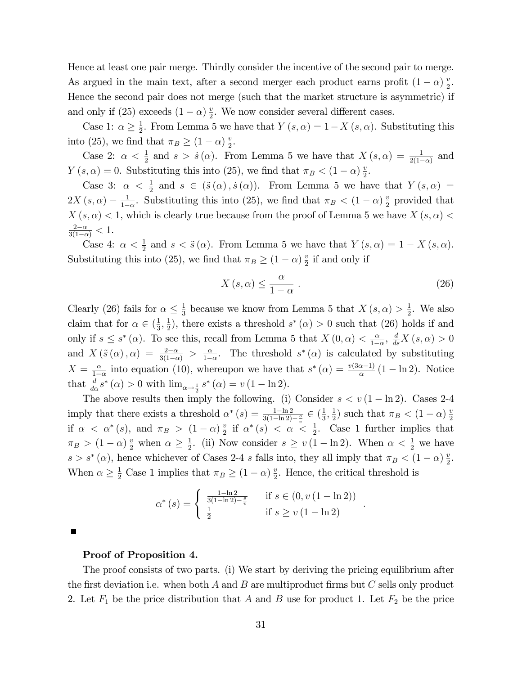Hence at least one pair merge. Thirdly consider the incentive of the second pair to merge. As argued in the main text, after a second merger each product earns profit  $(1 - \alpha) \frac{v}{2}$  $\frac{v}{2}$ . Hence the second pair does not merge (such that the market structure is asymmetric) if and only if (25) exceeds  $(1 - \alpha) \frac{v}{2}$  $\frac{v}{2}$ . We now consider several different cases.

Case 1:  $\alpha \geq \frac{1}{2}$  $\frac{1}{2}$ . From Lemma 5 we have that  $Y(s, \alpha) = 1 - X(s, \alpha)$ . Substituting this into (25), we find that  $\pi_B \ge (1 - \alpha) \frac{v}{2}$  $\frac{v}{2}$ .

Case 2:  $\alpha < \frac{1}{2}$  and  $s > \dot{s}(\alpha)$ . From Lemma 5 we have that  $X(s, \alpha) = \frac{1}{2(1-\alpha)}$  and  $Y(s, \alpha) = 0$ . Substituting this into (25), we find that  $\pi_B < (1 - \alpha) \frac{v}{2}$  $\frac{v}{2}$ .

Case 3:  $\alpha < \frac{1}{2}$  and  $s \in (\tilde{s}(\alpha), \dot{s}(\alpha))$ . From Lemma 5 we have that  $Y(s, \alpha) =$  $2X(s, \alpha) - \frac{1}{1 - \alpha}$  $\frac{1}{1-\alpha}$ . Substituting this into (25), we find that  $\pi_B < (1-\alpha)\frac{v}{2}$  $\frac{v}{2}$  provided that  $X(s, \alpha) < 1$ , which is clearly true because from the proof of Lemma 5 we have  $X(s, \alpha) <$  $\frac{2-\alpha}{3(1-\alpha)} < 1.$ 

Case 4:  $\alpha < \frac{1}{2}$  and  $s < \tilde{s}(\alpha)$ . From Lemma 5 we have that  $Y(s, \alpha) = 1 - X(s, \alpha)$ . Substituting this into (25), we find that  $\pi_B \ge (1 - \alpha) \frac{v}{2}$  $\frac{v}{2}$  if and only if

$$
X(s,\alpha) \le \frac{\alpha}{1-\alpha} \ . \tag{26}
$$

:

Clearly (26) fails for  $\alpha \leq \frac{1}{3}$  $\frac{1}{3}$  because we know from Lemma 5 that  $X(s, \alpha) > \frac{1}{2}$  $\frac{1}{2}$ . We also claim that for  $\alpha \in \left(\frac{1}{3}\right)$  $\frac{1}{3}, \frac{1}{2}$  $(\frac{1}{2})$ , there exists a threshold  $s^*(\alpha) > 0$  such that  $(26)$  holds if and only if  $s \leq s^*(\alpha)$ . To see this, recall from Lemma 5 that  $X(0, \alpha) < \frac{\alpha}{1-\alpha}$  $\frac{\alpha}{1-\alpha}, \frac{d}{ds}X(s,\alpha) > 0$ and  $X(\tilde{s}(\alpha), \alpha) = \frac{2-\alpha}{3(1-\alpha)} > \frac{\alpha}{1-\alpha}$  $\frac{\alpha}{1-\alpha}$ . The threshold  $s^*(\alpha)$  is calculated by substituting  $X = \frac{\alpha}{1}$  $\frac{\alpha}{1-\alpha}$  into equation (10), whereupon we have that  $s^*(\alpha) = \frac{v(3\alpha-1)}{\alpha}(1-\ln 2)$ . Notice that  $\frac{d}{d\alpha}s^*(\alpha) > 0$  with  $\lim_{\alpha \to \frac{1}{2}} s^*(\alpha) = v(1 - \ln 2)$ .

The above results then imply the following. (i) Consider  $s < v(1 - \ln 2)$ . Cases 2-4 imply that there exists a threshold  $\alpha^*(s) = \frac{1-\ln 2}{3(1-\ln 2)-\frac{s}{n}} \in (\frac{1}{3})$  $\frac{1}{3}, \frac{1}{2}$  $(\frac{1}{2})$  such that  $\pi_B < (1 - \alpha) \frac{v}{2}$ 2 if  $\alpha < \alpha^*(s)$ , and  $\pi_B > (1 - \alpha) \frac{v}{2}$  $\frac{v}{2}$  if  $\alpha^*(s) < \alpha < \frac{1}{2}$ . Case 1 further implies that  $\pi_B > (1 - \alpha) \frac{v}{2}$  when  $\alpha \geq \frac{1}{2}$  $\frac{1}{2}$ . (ii) Now consider  $s \ge v(1 - \ln 2)$ . When  $\alpha < \frac{1}{2}$  we have  $s > s^* (\alpha)$ , hence whichever of Cases 2-4 s falls into, they all imply that  $\pi_B < (1 - \alpha) \frac{v}{2}$  $\frac{v}{2}$ . When  $\alpha \geq \frac{1}{2}$  Case 1 implies that  $\pi_B \geq (1 - \alpha) \frac{v}{2}$  $\frac{v}{2}$ . Hence, the critical threshold is

$$
\alpha^*(s) = \begin{cases} \frac{1 - \ln 2}{3(1 - \ln 2) - \frac{s}{v}} & \text{if } s \in (0, v(1 - \ln 2)) \\ \frac{1}{2} & \text{if } s \ge v(1 - \ln 2) \end{cases}
$$

#### Proof of Proposition 4.

The proof consists of two parts. (i) We start by deriving the pricing equilibrium after the first deviation i.e. when both  $A$  and  $B$  are multiproduct firms but  $C$  sells only product 2. Let  $F_1$  be the price distribution that A and B use for product 1. Let  $F_2$  be the price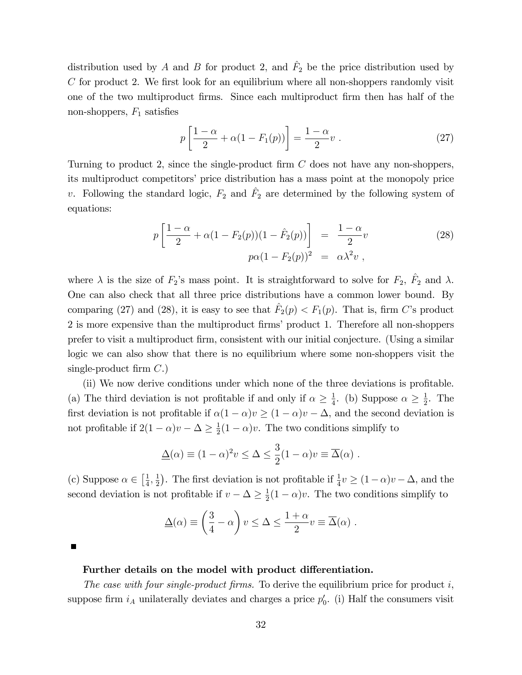distribution used by A and B for product 2, and  $\hat{F}_2$  be the price distribution used by  $C$  for product 2. We first look for an equilibrium where all non-shoppers randomly visit one of the two multiproduct firms. Since each multiproduct firm then has half of the non-shoppers,  $F_1$  satisfies

$$
p\left[\frac{1-\alpha}{2} + \alpha(1 - F_1(p))\right] = \frac{1-\alpha}{2}v.
$$
 (27)

Turning to product 2, since the single-product firm  $C$  does not have any non-shoppers, its multiproduct competitorsí price distribution has a mass point at the monopoly price v. Following the standard logic,  $F_2$  and  $\hat{F}_2$  are determined by the following system of equations:

$$
p\left[\frac{1-\alpha}{2} + \alpha(1 - F_2(p))(1 - \hat{F}_2(p))\right] = \frac{1-\alpha}{2}v
$$
  
\n
$$
p\alpha(1 - F_2(p))^2 = \alpha\lambda^2v,
$$
\n(28)

where  $\lambda$  is the size of  $F_2$ 's mass point. It is straightforward to solve for  $F_2$ ,  $\hat{F}_2$  and  $\lambda$ . One can also check that all three price distributions have a common lower bound. By comparing (27) and (28), it is easy to see that  $\hat{F}_2(p) < F_1(p)$ . That is, firm C's product 2 is more expensive than the multiproduct firms' product 1. Therefore all non-shoppers prefer to visit a multiproduct Örm, consistent with our initial conjecture. (Using a similar logic we can also show that there is no equilibrium where some non-shoppers visit the single-product firm  $C$ .)

(ii) We now derive conditions under which none of the three deviations is profitable. (a) The third deviation is not profitable if and only if  $\alpha \geq \frac{1}{4}$  $\frac{1}{4}$ . (b) Suppose  $\alpha \geq \frac{1}{2}$  $\frac{1}{2}$ . The first deviation is not profitable if  $\alpha(1 - \alpha)v \geq (1 - \alpha)v - \Delta$ , and the second deviation is not profitable if  $2(1 - \alpha)v - \Delta \ge \frac{1}{2}$  $\frac{1}{2}(1-\alpha)v$ . The two conditions simplify to

$$
\underline{\Delta}(\alpha) \equiv (1 - \alpha)^2 v \le \Delta \le \frac{3}{2}(1 - \alpha)v \equiv \overline{\Delta}(\alpha) .
$$

(c) Suppose  $\alpha \in \left[\frac{1}{4}\right]$  $\frac{1}{4}, \frac{1}{2}$  $(\frac{1}{2})$ . The first deviation is not profitable if  $\frac{1}{4}v \geq (1-\alpha)v - \Delta$ , and the second deviation is not profitable if  $v - \Delta \ge \frac{1}{2}$  $\frac{1}{2}(1-\alpha)v$ . The two conditions simplify to

$$
\underline{\Delta}(\alpha) \equiv \left(\frac{3}{4} - \alpha\right)v \le \Delta \le \frac{1+\alpha}{2}v \equiv \overline{\Delta}(\alpha) .
$$

#### Further details on the model with product differentiation.

The case with four single-product firms. To derive the equilibrium price for product  $i$ , suppose firm  $i_A$  unilaterally deviates and charges a price  $p'_0$ . (i) Half the consumers visit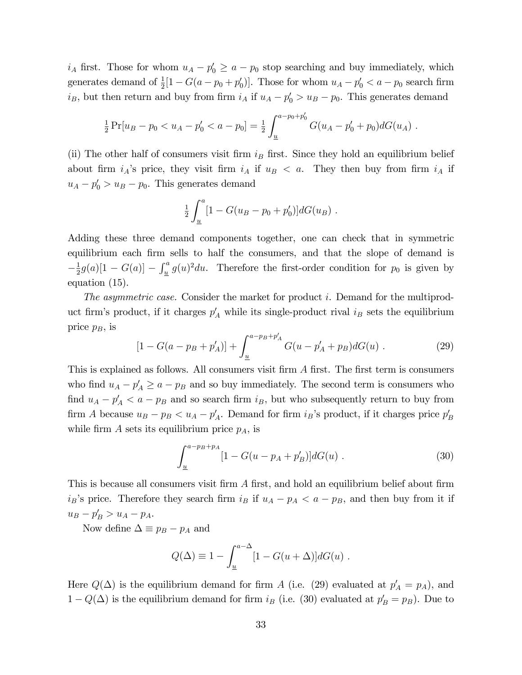$i_A$  first. Those for whom  $u_A - p'_0 \ge a - p_0$  stop searching and buy immediately, which generates demand of  $\frac{1}{2}[1-G(a-p_0+p'_0)]$ . Those for whom  $u_A - p'_0 < a - p_0$  search firm  $i_B$ , but then return and buy from firm  $i_A$  if  $u_A - p'_0 > u_B - p_0$ . This generates demand

$$
\frac{1}{2}\Pr[u_B - p_0 < u_A - p'_0 < a - p_0] = \frac{1}{2} \int_{\underline{u}}^{a - p_0 + p'_0} G(u_A - p'_0 + p_0) dG(u_A) \, .
$$

(ii) The other half of consumers visit firm  $i_B$  first. Since they hold an equilibrium belief about firm  $i_A$ 's price, they visit firm  $i_A$  if  $u_B < a$ . They then buy from firm  $i_A$  if  $u_A - p'_0 > u_B - p_0$ . This generates demand

$$
\frac{1}{2} \int_{\underline{u}}^{a} [1 - G(u_B - p_0 + p'_0)] dG(u_B) .
$$

Adding these three demand components together, one can check that in symmetric equilibrium each firm sells to half the consumers, and that the slope of demand is  $-\frac{1}{2}$  $\frac{1}{2}g(a)[1-G(a)] - \int_{\underline{u}}^{a} g(u)^{2} du$ . Therefore the first-order condition for  $p_0$  is given by equation (15).

The asymmetric case. Consider the market for product i. Demand for the multiproduct firm's product, if it charges  $p'_A$  while its single-product rival  $i_B$  sets the equilibrium price  $p_B$ , is

$$
[1 - G(a - p_B + p'_A)] + \int_{\underline{u}}^{a - p_B + p'_A} G(u - p'_A + p_B) dG(u) \tag{29}
$$

This is explained as follows. All consumers visit firm A first. The first term is consumers who find  $u_A - p'_A \ge a - p_B$  and so buy immediately. The second term is consumers who find  $u_A - p'_A < a - p_B$  and so search firm  $i_B$ , but who subsequently return to buy from firm A because  $u_B - p_B < u_A - p'_A$ . Demand for firm  $i_B$ 's product, if it charges price  $p'_B$ while firm  $A$  sets its equilibrium price  $p_A$ , is

$$
\int_{\underline{u}}^{a-p_B+p_A} [1 - G(u - p_A + p'_B)] dG(u) \tag{30}
$$

This is because all consumers visit firm  $A$  first, and hold an equilibrium belief about firm  $i_B$ 's price. Therefore they search firm  $i_B$  if  $u_A - p_A < a - p_B$ , and then buy from it if  $u_B - p'_B > u_A - p_A.$ 

Now define  $\Delta \equiv p_B - p_A$  and

$$
Q(\Delta) \equiv 1 - \int_{\underline{u}}^{a-\Delta} [1 - G(u+\Delta)] dG(u) .
$$

Here  $Q(\Delta)$  is the equilibrium demand for firm A (i.e. (29) evaluated at  $p'_A = p_A$ ), and  $1 - Q(\Delta)$  is the equilibrium demand for firm  $i_B$  (i.e. (30) evaluated at  $p'_B = p_B$ ). Due to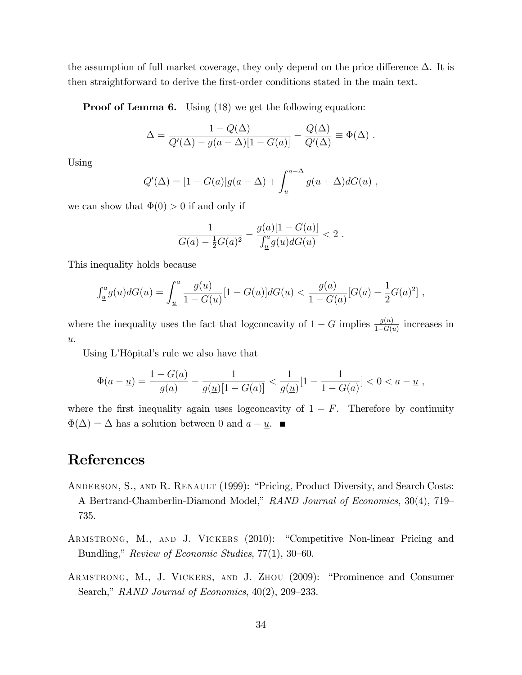the assumption of full market coverage, they only depend on the price difference  $\Delta$ . It is then straightforward to derive the first-order conditions stated in the main text.

**Proof of Lemma 6.** Using (18) we get the following equation:

$$
\Delta = \frac{1 - Q(\Delta)}{Q'(\Delta) - g(a - \Delta)[1 - G(a)]} - \frac{Q(\Delta)}{Q'(\Delta)} \equiv \Phi(\Delta) .
$$

Using

$$
Q'(\Delta) = [1 - G(a)]g(a - \Delta) + \int_{\underline{u}}^{a - \Delta} g(u + \Delta)dG(u) ,
$$

we can show that  $\Phi(0) > 0$  if and only if

$$
\frac{1}{G(a) - \frac{1}{2}G(a)^2} - \frac{g(a)[1 - G(a)]}{\int_{\underline{u}}^a g(u)dG(u)} < 2.
$$

This inequality holds because

$$
\int_{\underline{u}}^a g(u)dG(u) = \int_{\underline{u}}^a \frac{g(u)}{1 - G(u)} [1 - G(u)] dG(u) < \frac{g(a)}{1 - G(a)} [G(a) - \frac{1}{2}G(a)^2],
$$

where the inequality uses the fact that logconcavity of  $1-G$  implies  $\frac{g(u)}{1-G(u)}$  increases in  $\overline{u}$ .

Using L'Hôpital's rule we also have that

$$
\Phi(a - \underline{u}) = \frac{1 - G(a)}{g(a)} - \frac{1}{g(\underline{u})[1 - G(a)]} < \frac{1}{g(\underline{u})}[1 - \frac{1}{1 - G(a)}] < 0 < a - \underline{u} \;,
$$

where the first inequality again uses logconcavity of  $1 - F$ . Therefore by continuity  $\Phi(\Delta) = \Delta$  has a solution between 0 and  $a - \underline{u}$ .

# References

- ANDERSON, S., AND R. RENAULT (1999): "Pricing, Product Diversity, and Search Costs: A Bertrand-Chamberlin-Diamond Model," RAND Journal of Economics, 30(4), 719 735.
- ARMSTRONG, M., AND J. VICKERS (2010): "Competitive Non-linear Pricing and Bundling," Review of Economic Studies,  $77(1)$ ,  $30-60$ .
- ARMSTRONG, M., J. VICKERS, AND J. ZHOU (2009): "Prominence and Consumer Search," RAND Journal of Economics,  $40(2)$ ,  $209-233$ .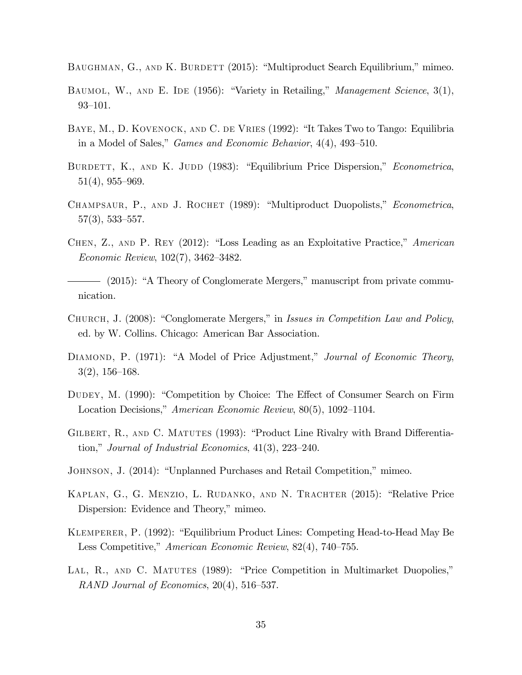BAUGHMAN, G., AND K. BURDETT (2015): "Multiproduct Search Equilibrium," mimeo.

- BAUMOL, W., AND E. IDE (1956): "Variety in Retailing," Management Science, 3(1),  $93 - 101.$
- BAYE, M., D. KOVENOCK, AND C. DE VRIES (1992): "It Takes Two to Tango: Equilibria in a Model of Sales," Games and Economic Behavior,  $4(4)$ ,  $493-510$ .
- BURDETT, K., AND K. JUDD (1983): "Equilibrium Price Dispersion," Econometrica,  $51(4)$ ,  $955-969$ .
- CHAMPSAUR, P., AND J. ROCHET (1989): "Multiproduct Duopolists," Econometrica,  $57(3)$ , 533-557.
- CHEN,  $Z$ ., AND P. REY (2012): "Loss Leading as an Exploitative Practice," American Economic Review,  $102(7)$ ,  $3462-3482$ .
- (2015): "A Theory of Conglomerate Mergers," manuscript from private communication.
- CHURCH, J. (2008): "Conglomerate Mergers," in Issues in Competition Law and Policy, ed. by W. Collins. Chicago: American Bar Association.
- DIAMOND, P. (1971): "A Model of Price Adjustment," Journal of Economic Theory,  $3(2), 156-168.$
- DUDEY, M. (1990): "Competition by Choice: The Effect of Consumer Search on Firm Location Decisions," American Economic Review, 80(5), 1092-1104.
- GILBERT, R., AND C. MATUTES (1993): "Product Line Rivalry with Brand Differentiation," Journal of Industrial Economics,  $41(3)$ ,  $223-240$ .
- JOHNSON, J. (2014): "Unplanned Purchases and Retail Competition," mimeo.
- KAPLAN, G., G. MENZIO, L. RUDANKO, AND N. TRACHTER (2015): "Relative Price Dispersion: Evidence and Theory," mimeo.
- KLEMPERER, P. (1992): "Equilibrium Product Lines: Competing Head-to-Head May Be Less Competitive," American Economic Review, 82(4), 740–755.
- LAL, R., AND C. MATUTES (1989): "Price Competition in Multimarket Duopolies," RAND Journal of Economics,  $20(4)$ , 516–537.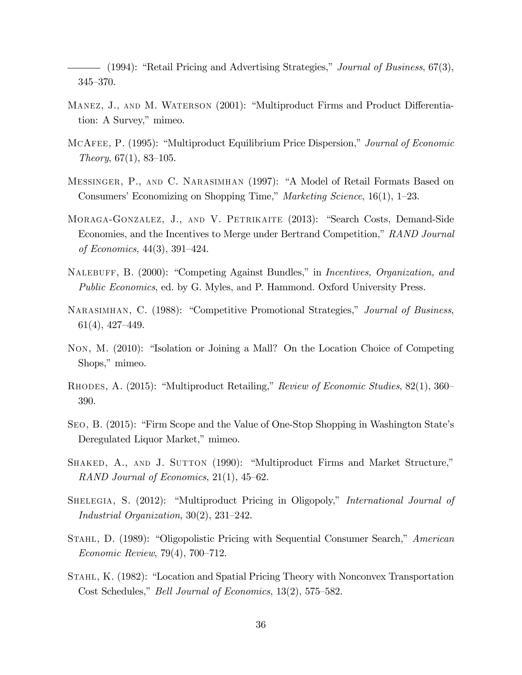$-$  (1994): "Retail Pricing and Advertising Strategies," *Journal of Business*, 67(3),  $345 - 370.$ 

- MANEZ, J., AND M. WATERSON (2001): "Multiproduct Firms and Product Differentiation: A Survey," mimeo.
- MCAFEE, P. (1995): "Multiproduct Equilibrium Price Dispersion," Journal of Economic Theory,  $67(1)$ ,  $83-105$ .
- MESSINGER, P., AND C. NARASIMHAN (1997): "A Model of Retail Formats Based on Consumers' Economizing on Shopping Time," Marketing Science,  $16(1)$ , 1–23.
- MORAGA-GONZALEZ, J., AND V. PETRIKAITE (2013): "Search Costs, Demand-Side Economies, and the Incentives to Merge under Bertrand Competition," RAND Journal of Economics,  $44(3)$ ,  $391-424$ .
- NALEBUFF, B. (2000): "Competing Against Bundles," in *Incentives, Organization, and* Public Economics, ed. by G. Myles, and P. Hammond. Oxford University Press.
- NARASIMHAN, C. (1988): "Competitive Promotional Strategies," Journal of Business,  $61(4), 427-449.$
- Non, M. (2010): "Isolation or Joining a Mall? On the Location Choice of Competing Shops," mimeo.
- RHODES, A. (2015): "Multiproduct Retailing," Review of Economic Studies, 82(1), 360– 390.
- SEO, B. (2015): "Firm Scope and the Value of One-Stop Shopping in Washington State's Deregulated Liquor Market," mimeo.
- SHAKED, A., AND J. SUTTON (1990): "Multiproduct Firms and Market Structure," RAND Journal of Economics,  $21(1)$ ,  $45-62$ .
- SHELEGIA, S. (2012): "Multiproduct Pricing in Oligopoly," *International Journal of* Industrial Organization,  $30(2)$ ,  $231-242$ .
- STAHL, D. (1989): "Oligopolistic Pricing with Sequential Consumer Search," American  $Economic Review, 79(4), 700–712.$
- STAHL, K. (1982): "Location and Spatial Pricing Theory with Nonconvex Transportation Cost Schedules," *Bell Journal of Economics*, 13(2), 575–582.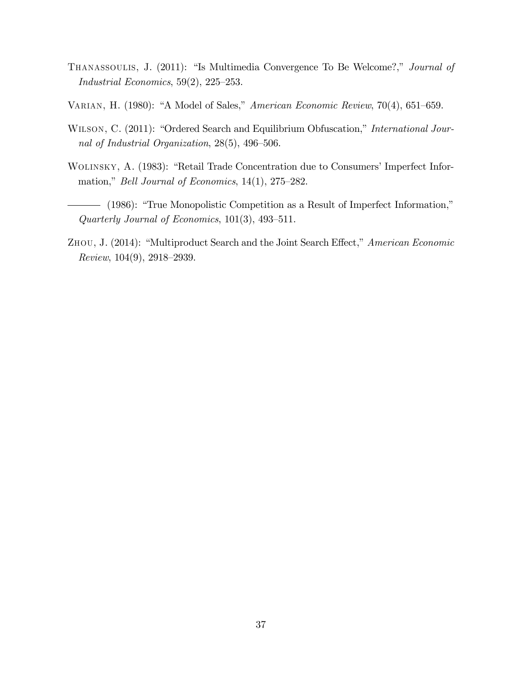- THANASSOULIS, J. (2011): "Is Multimedia Convergence To Be Welcome?," Journal of Industrial Economics,  $59(2)$ ,  $225-253$ .
- VARIAN, H. (1980): "A Model of Sales," American Economic Review,  $70(4)$ , 651–659.
- WILSON, C. (2011): "Ordered Search and Equilibrium Obfuscation," International Journal of Industrial Organization,  $28(5)$ ,  $496-506$ .
- WOLINSKY, A. (1983): "Retail Trade Concentration due to Consumers' Imperfect Information," *Bell Journal of Economics*,  $14(1)$ ,  $275-282$ .
- (1986): "True Monopolistic Competition as a Result of Imperfect Information," Quarterly Journal of Economics,  $101(3)$ ,  $493-511$ .
- ZHOU, J. (2014): "Multiproduct Search and the Joint Search Effect," American Economic Review,  $104(9)$ ,  $2918-2939$ .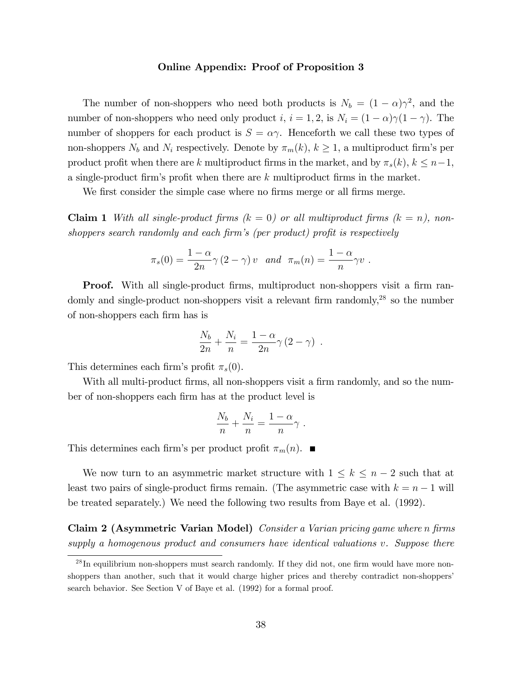#### Online Appendix: Proof of Proposition 3

The number of non-shoppers who need both products is  $N_b = (1 - \alpha)\gamma^2$ , and the number of non-shoppers who need only product i,  $i = 1, 2$ , is  $N_i = (1 - \alpha)\gamma(1 - \gamma)$ . The number of shoppers for each product is  $S = \alpha \gamma$ . Henceforth we call these two types of non-shoppers  $N_b$  and  $N_i$  respectively. Denote by  $\pi_m(k)$ ,  $k \geq 1$ , a multiproduct firm's per product profit when there are k multiproduct firms in the market, and by  $\pi_s(k)$ ,  $k \leq n-1$ , a single-product firm's profit when there are  $k$  multiproduct firms in the market.

We first consider the simple case where no firms merge or all firms merge.

**Claim 1** With all single-product firms  $(k = 0)$  or all multiproduct firms  $(k = n)$ , nonshoppers search randomly and each firm's (per product) profit is respectively

$$
\pi_s(0) = \frac{1-\alpha}{2n}\gamma(2-\gamma)v \text{ and } \pi_m(n) = \frac{1-\alpha}{n}\gamma v.
$$

**Proof.** With all single-product firms, multiproduct non-shoppers visit a firm randomly and single-product non-shoppers visit a relevant firm randomly,<sup>28</sup> so the number of non-shoppers each Örm has is

$$
\frac{N_b}{2n} + \frac{N_i}{n} = \frac{1-\alpha}{2n}\gamma (2-\gamma) .
$$

This determines each firm's profit  $\pi_s(0)$ .

With all multi-product firms, all non-shoppers visit a firm randomly, and so the number of non-shoppers each firm has at the product level is

$$
\frac{N_b}{n} + \frac{N_i}{n} = \frac{1-\alpha}{n}\gamma.
$$

This determines each firm's per product profit  $\pi_m(n)$ .

We now turn to an asymmetric market structure with  $1 \leq k \leq n-2$  such that at least two pairs of single-product firms remain. (The asymmetric case with  $k = n - 1$  will be treated separately.) We need the following two results from Baye et al. (1992).

Claim 2 (Asymmetric Varian Model) Consider a Varian pricing game where n firms supply a homogenous product and consumers have identical valuations v. Suppose there

 $^{28}$  In equilibrium non-shoppers must search randomly. If they did not, one firm would have more nonshoppers than another, such that it would charge higher prices and thereby contradict non-shoppers' search behavior. See Section V of Baye et al. (1992) for a formal proof.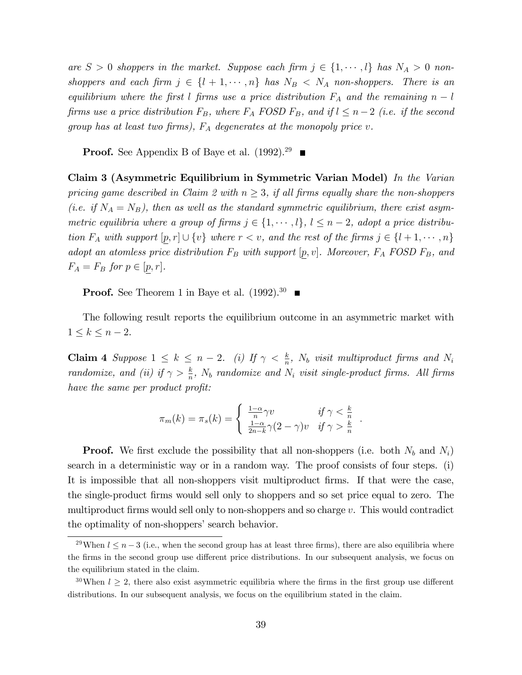are  $S > 0$  shoppers in the market. Suppose each firm  $j \in \{1, \dots, l\}$  has  $N_A > 0$  nonshoppers and each firm  $j \in \{l + 1, \cdots, n\}$  has  $N_B \langle N_A \rangle$  non-shoppers. There is an equilibrium where the first l firms use a price distribution  $F_A$  and the remaining  $n - l$ firms use a price distribution  $F_B$ , where  $F_A$  FOSD  $F_B$ , and if  $l \leq n-2$  (i.e. if the second group has at least two firms),  $F_A$  degenerates at the monopoly price v.

**Proof.** See Appendix B of Baye et al.  $(1992)^{29}$ 

Claim 3 (Asymmetric Equilibrium in Symmetric Varian Model) In the Varian pricing game described in Claim 2 with  $n \geq 3$ , if all firms equally share the non-shoppers (i.e. if  $N_A = N_B$ ), then as well as the standard symmetric equilibrium, there exist asymmetric equilibria where a group of firms  $j \in \{1, \dots, l\}$ ,  $l \leq n - 2$ , adopt a price distribution  $F_A$  with support  $[p, r] \cup \{v\}$  where  $r < v$ , and the rest of the firms  $j \in \{l + 1, \cdots, n\}$ adopt an atomless price distribution  $F_B$  with support  $[p, v]$ . Moreover,  $F_A$  FOSD  $F_B$ , and  $F_A = F_B$  for  $p \in [p, r]$ .

**Proof.** See Theorem 1 in Baye et al.  $(1992).^{30}$ 

The following result reports the equilibrium outcome in an asymmetric market with  $1 \leq k \leq n-2$ .

**Claim 4** Suppose  $1 \leq k \leq n-2$ . (i) If  $\gamma < \frac{k}{n}$ ,  $N_b$  visit multiproduct firms and  $N_i$ randomize, and (ii) if  $\gamma > \frac{k}{n}$ ,  $N_b$  randomize and  $N_i$  visit single-product firms. All firms have the same per product profit:

$$
\pi_m(k) = \pi_s(k) = \begin{cases} \frac{1-\alpha}{n}\gamma v & \text{if } \gamma < \frac{k}{n} \\ \frac{1-\alpha}{2n-k}\gamma(2-\gamma)v & \text{if } \gamma > \frac{k}{n} \end{cases}
$$

:

**Proof.** We first exclude the possibility that all non-shoppers (i.e. both  $N_b$  and  $N_i$ ) search in a deterministic way or in a random way. The proof consists of four steps. (i) It is impossible that all non-shoppers visit multiproduct firms. If that were the case, the single-product Örms would sell only to shoppers and so set price equal to zero. The multiproduct firms would sell only to non-shoppers and so charge  $v$ . This would contradict the optimality of non-shoppers' search behavior.

<sup>&</sup>lt;sup>29</sup>When  $l \leq n-3$  (i.e., when the second group has at least three firms), there are also equilibria where the firms in the second group use different price distributions. In our subsequent analysis, we focus on the equilibrium stated in the claim.

<sup>&</sup>lt;sup>30</sup>When  $l > 2$ , there also exist asymmetric equilibria where the firms in the first group use different distributions. In our subsequent analysis, we focus on the equilibrium stated in the claim.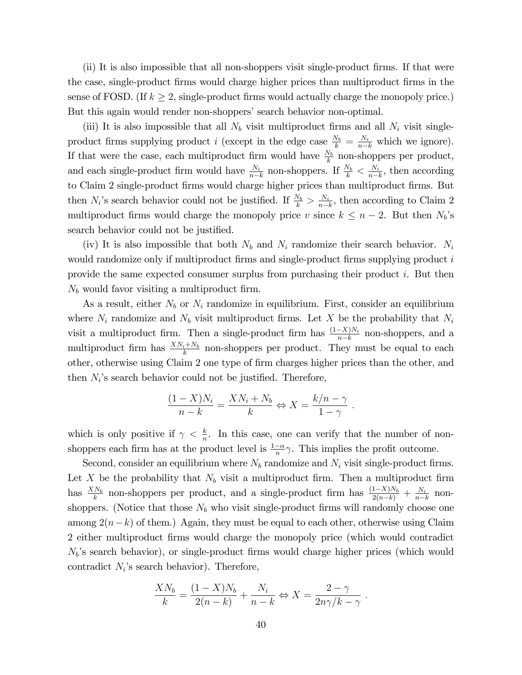(ii) It is also impossible that all non-shoppers visit single-product Örms. If that were the case, single-product firms would charge higher prices than multiproduct firms in the sense of FOSD. (If  $k \geq 2$ , single-product firms would actually charge the monopoly price.) But this again would render non-shoppers' search behavior non-optimal.

(iii) It is also impossible that all  $N<sub>b</sub>$  visit multiproduct firms and all  $N<sub>i</sub>$  visit singleproduct firms supplying product *i* (except in the edge case  $\frac{N_b}{k} = \frac{N_i}{n-k}$  which we ignore). If that were the case, each multiproduct firm would have  $\frac{N_b}{k}$  non-shoppers per product, and each single-product firm would have  $\frac{N_i}{n-k}$  non-shoppers. If  $\frac{N_b}{k} < \frac{N_i}{n-k}$  $\frac{N_i}{n-k}$ , then according to Claim 2 single-product firms would charge higher prices than multiproduct firms. But then  $N_i$ 's search behavior could not be justified. If  $\frac{N_b}{k} > \frac{N_i}{n-1}$  $\frac{N_i}{n-k}$ , then according to Claim 2 multiproduct firms would charge the monopoly price v since  $k \leq n - 2$ . But then  $N_b$ 's search behavior could not be justified.

(iv) It is also impossible that both  $N_b$  and  $N_i$  randomize their search behavior.  $N_i$ would randomize only if multiproduct firms and single-product firms supplying product  $i$ provide the same expected consumer surplus from purchasing their product  $i$ . But then  $N_b$  would favor visiting a multiproduct firm.

As a result, either  $N_b$  or  $N_i$  randomize in equilibrium. First, consider an equilibrium where  $N_i$  randomize and  $N_b$  visit multiproduct firms. Let X be the probability that  $N_i$ visit a multiproduct firm. Then a single-product firm has  $\frac{(1-X)N_i}{n-k}$  non-shoppers, and a multiproduct firm has  $\frac{X N_i + N_b}{k}$  non-shoppers per product. They must be equal to each other, otherwise using Claim 2 one type of firm charges higher prices than the other, and then  $N_i$ 's search behavior could not be justified. Therefore,

$$
\frac{(1-X)N_i}{n-k} = \frac{XN_i + N_b}{k} \Leftrightarrow X = \frac{k/n - \gamma}{1 - \gamma}.
$$

which is only positive if  $\gamma < \frac{k}{n}$ . In this case, one can verify that the number of nonshoppers each firm has at the product level is  $\frac{1-\alpha}{n}\gamma$ . This implies the profit outcome.

Second, consider an equilibrium where  $N_b$  randomize and  $N_i$  visit single-product firms. Let X be the probability that  $N_b$  visit a multiproduct firm. Then a multiproduct firm has  $\frac{X N_b}{k}$  non-shoppers per product, and a single-product firm has  $\frac{(1-X)N_b}{2(n-k)} + \frac{N_i}{n-k_b}$  $\frac{N_i}{n-k}$  nonshoppers. (Notice that those  $N_b$  who visit single-product firms will randomly choose one among  $2(n-k)$  of them.) Again, they must be equal to each other, otherwise using Claim 2 either multiproduct Örms would charge the monopoly price (which would contradict  $N_b$ 's search behavior), or single-product firms would charge higher prices (which would contradict  $N_i$ 's search behavior). Therefore,

$$
\frac{X N_b}{k} = \frac{(1 - X) N_b}{2(n - k)} + \frac{N_i}{n - k} \Leftrightarrow X = \frac{2 - \gamma}{2n\gamma/k - \gamma}.
$$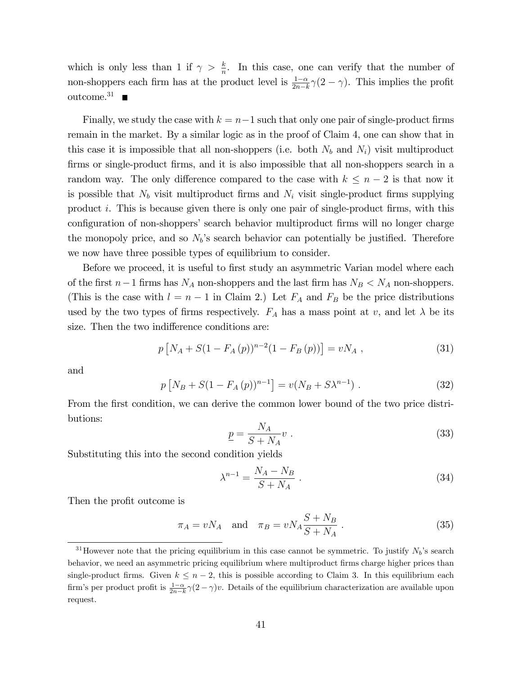which is only less than 1 if  $\gamma > \frac{k}{n}$ . In this case, one can verify that the number of non-shoppers each firm has at the product level is  $\frac{1-\alpha}{2n-k}\gamma(2-\gamma)$ . This implies the profit outcome.<sup>31</sup>

Finally, we study the case with  $k = n-1$  such that only one pair of single-product firms remain in the market. By a similar logic as in the proof of Claim 4, one can show that in this case it is impossible that all non-shoppers (i.e. both  $N_b$  and  $N_i$ ) visit multiproduct firms or single-product firms, and it is also impossible that all non-shoppers search in a random way. The only difference compared to the case with  $k \leq n-2$  is that now it is possible that  $N_b$  visit multiproduct firms and  $N_i$  visit single-product firms supplying product i. This is because given there is only one pair of single-product firms, with this configuration of non-shoppers' search behavior multiproduct firms will no longer charge the monopoly price, and so  $N_b$ 's search behavior can potentially be justified. Therefore we now have three possible types of equilibrium to consider.

Before we proceed, it is useful to first study an asymmetric Varian model where each of the first  $n-1$  firms has  $N_A$  non-shoppers and the last firm has  $N_B < N_A$  non-shoppers. (This is the case with  $l = n - 1$  in Claim 2.) Let  $F_A$  and  $F_B$  be the price distributions used by the two types of firms respectively.  $F_A$  has a mass point at v, and let  $\lambda$  be its size. Then the two indifference conditions are:

$$
p[N_A + S(1 - F_A(p))^{n-2}(1 - F_B(p))] = vN_A , \qquad (31)
$$

and

$$
p[N_B + S(1 - F_A(p))^{n-1}] = v(N_B + S\lambda^{n-1}).
$$
\n(32)

From the first condition, we can derive the common lower bound of the two price distributions:

$$
\underline{p} = \frac{N_A}{S + N_A} v \tag{33}
$$

Substituting this into the second condition yields

$$
\lambda^{n-1} = \frac{N_A - N_B}{S + N_A} \,. \tag{34}
$$

Then the profit outcome is

$$
\pi_A = vN_A \quad \text{and} \quad \pi_B = vN_A \frac{S + N_B}{S + N_A} \,. \tag{35}
$$

<sup>&</sup>lt;sup>31</sup>However note that the pricing equilibrium in this case cannot be symmetric. To justify  $N_b$ 's search behavior, we need an asymmetric pricing equilibrium where multiproduct firms charge higher prices than single-product firms. Given  $k \leq n - 2$ , this is possible according to Claim 3. In this equilibrium each firm's per product profit is  $\frac{1-\alpha}{2n-k}\gamma(2-\gamma)v$ . Details of the equilibrium characterization are available upon request.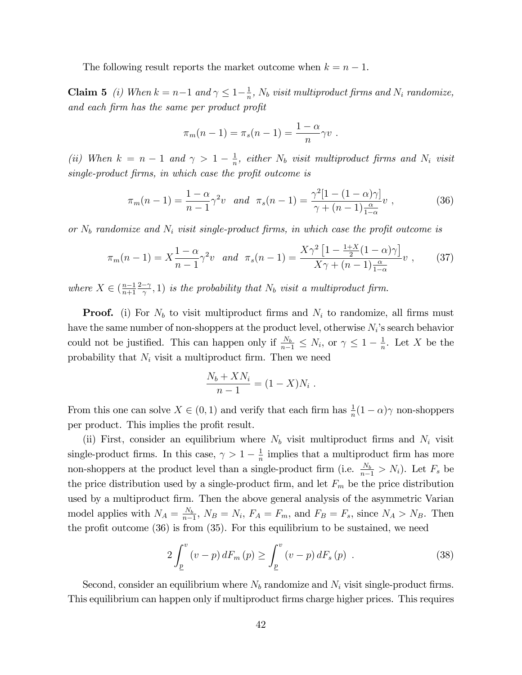The following result reports the market outcome when  $k = n - 1$ .

**Claim 5** (*i*) When  $k = n-1$  and  $\gamma \leq 1-\frac{1}{n}$  $\frac{1}{n}$ ,  $N_b$  visit multiproduct firms and  $N_i$  randomize, and each firm has the same per product profit

$$
\pi_m(n-1) = \pi_s(n-1) = \frac{1-\alpha}{n}\gamma v.
$$

(ii) When  $k = n - 1$  and  $\gamma > 1 - \frac{1}{n}$  $\frac{1}{n}$ , either  $N_b$  visit multiproduct firms and  $N_i$  visit single-product firms, in which case the profit outcome is

$$
\pi_m(n-1) = \frac{1-\alpha}{n-1} \gamma^2 v \quad and \quad \pi_s(n-1) = \frac{\gamma^2 [1 - (1-\alpha)\gamma]}{\gamma + (n-1)\frac{\alpha}{1-\alpha}} v \tag{36}
$$

or  $N_b$  randomize and  $N_i$  visit single-product firms, in which case the profit outcome is

$$
\pi_m(n-1) = X \frac{1-\alpha}{n-1} \gamma^2 v \quad and \quad \pi_s(n-1) = \frac{X \gamma^2 \left[1 - \frac{1+X}{2} (1-\alpha) \gamma \right]}{X \gamma + (n-1) \frac{\alpha}{1-\alpha}} v \tag{37}
$$

where  $X \in \left(\frac{n-1}{n+1}\right)$  $n+1$  $_{2-\gamma}$  $(\frac{-\gamma}{\gamma}, 1)$  is the probability that  $N_b$  visit a multiproduct firm.

**Proof.** (i) For  $N_b$  to visit multiproduct firms and  $N_i$  to randomize, all firms must have the same number of non-shoppers at the product level, otherwise  $N_i$ 's search behavior could not be justified. This can happen only if  $\frac{N_b}{n-1} \leq N_i$ , or  $\gamma \leq 1 - \frac{1}{n}$  $\frac{1}{n}$ . Let X be the probability that  $N_i$  visit a multiproduct firm. Then we need

$$
\frac{N_b + X N_i}{n-1} = (1 - X) N_i \; .
$$

From this one can solve  $X \in (0, 1)$  and verify that each firm has  $\frac{1}{n}(1 - \alpha)\gamma$  non-shoppers per product. This implies the profit result.

(ii) First, consider an equilibrium where  $N_b$  visit multiproduct firms and  $N_i$  visit single-product firms. In this case,  $\gamma > 1 - \frac{1}{n}$  $\frac{1}{n}$  implies that a multiproduct firm has more non-shoppers at the product level than a single-product firm (i.e.  $\frac{N_b}{n-1} > N_i$ ). Let  $F_s$  be the price distribution used by a single-product firm, and let  $F_m$  be the price distribution used by a multiproduct firm. Then the above general analysis of the asymmetric Varian model applies with  $N_A = \frac{N_b}{n_a}$  $\frac{N_b}{n-1}$ ,  $N_B = N_i$ ,  $F_A = F_m$ , and  $F_B = F_s$ , since  $N_A > N_B$ . Then the profit outcome  $(36)$  is from  $(35)$ . For this equilibrium to be sustained, we need

$$
2\int_{\underline{p}}^{v} (v-p) dF_m(p) \ge \int_{\underline{p}}^{v} (v-p) dF_s(p) . \tag{38}
$$

Second, consider an equilibrium where  $N_b$  randomize and  $N_i$  visit single-product firms. This equilibrium can happen only if multiproduct firms charge higher prices. This requires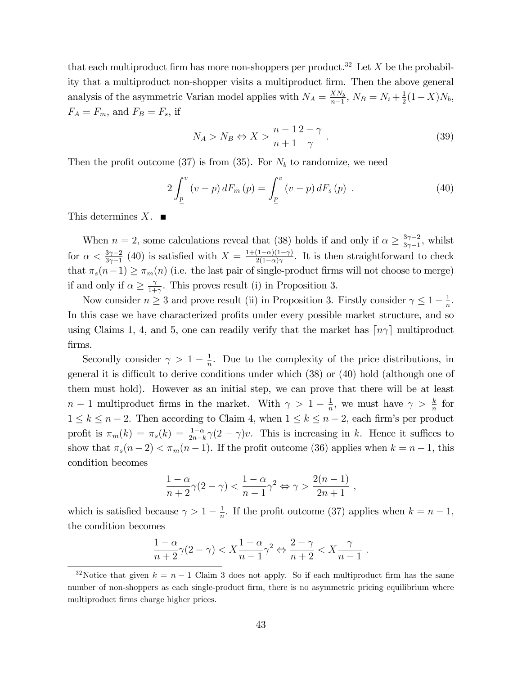that each multiproduct firm has more non-shoppers per product.<sup>32</sup> Let X be the probability that a multiproduct non-shopper visits a multiproduct firm. Then the above general analysis of the asymmetric Varian model applies with  $N_A = \frac{X N_b}{n-1}$  $\frac{X N_b}{n-1}, N_B = N_i + \frac{1}{2}$  $\frac{1}{2}(1-X)N_b,$  $F_A = F_m$ , and  $F_B = F_s$ , if

$$
N_A > N_B \Leftrightarrow X > \frac{n-1}{n+1} \frac{2-\gamma}{\gamma} \ . \tag{39}
$$

Then the profit outcome (37) is from (35). For  $N_b$  to randomize, we need

$$
2\int_{\underline{p}}^{v} (v-p) dF_m(p) = \int_{\underline{p}}^{v} (v-p) dF_s(p) . \qquad (40)
$$

This determines  $X$ .

When  $n = 2$ , some calculations reveal that (38) holds if and only if  $\alpha \geq \frac{3\gamma - 2}{3\gamma - 1}$  $\frac{3\gamma-2}{3\gamma-1}$ , whilst for  $\alpha < \frac{3\gamma - 2}{3\gamma - 1}$  (40) is satisfied with  $X = \frac{1 + (1 - \alpha)(1 - \gamma)}{2(1 - \alpha)\gamma}$  $\frac{(1-\alpha)(1-\gamma)}{2(1-\alpha)\gamma}$ . It is then straightforward to check that  $\pi_s(n-1) \geq \pi_m(n)$  (i.e. the last pair of single-product firms will not choose to merge) if and only if  $\alpha \ge \frac{\gamma}{1+}$  $\frac{\gamma}{1+\gamma}$ . This proves result (i) in Proposition 3.

Now consider  $n \geq 3$  and prove result (ii) in Proposition 3. Firstly consider  $\gamma \leq 1 - \frac{1}{n}$  $\frac{1}{n}$ . In this case we have characterized profits under every possible market structure, and so using Claims 1, 4, and 5, one can readily verify that the market has  $\lceil n\gamma \rceil$  multiproduct Örms.

Secondly consider  $\gamma > 1 - \frac{1}{n}$  $\frac{1}{n}$ . Due to the complexity of the price distributions, in general it is difficult to derive conditions under which  $(38)$  or  $(40)$  hold (although one of them must hold). However as an initial step, we can prove that there will be at least  $n-1$  multiproduct firms in the market. With  $\gamma > 1 - \frac{1}{n}$  $\frac{1}{n}$ , we must have  $\gamma > \frac{k}{n}$  for  $1 \leq k \leq n-2$ . Then according to Claim 4, when  $1 \leq k \leq n-2$ , each firm's per product profit is  $\pi_m(k) = \pi_s(k) = \frac{1-\alpha}{2n-k}\gamma(2-\gamma)v$ . This is increasing in k. Hence it suffices to show that  $\pi_s(n-2) < \pi_m(n-1)$ . If the profit outcome (36) applies when  $k = n-1$ , this condition becomes

$$
\frac{1-\alpha}{n+2}\gamma(2-\gamma) < \frac{1-\alpha}{n-1}\gamma^2 \Leftrightarrow \gamma > \frac{2(n-1)}{2n+1} \;,
$$

which is satisfied because  $\gamma > 1 - \frac{1}{n}$  $\frac{1}{n}$ . If the profit outcome (37) applies when  $k = n - 1$ , the condition becomes

$$
\frac{1-\alpha}{n+2}\gamma(2-\gamma) < X\frac{1-\alpha}{n-1}\gamma^2 \Leftrightarrow \frac{2-\gamma}{n+2} < X\frac{\gamma}{n-1} \; .
$$

<sup>&</sup>lt;sup>32</sup>Notice that given  $k = n - 1$  Claim 3 does not apply. So if each multiproduct firm has the same number of non-shoppers as each single-product firm, there is no asymmetric pricing equilibrium where multiproduct firms charge higher prices.